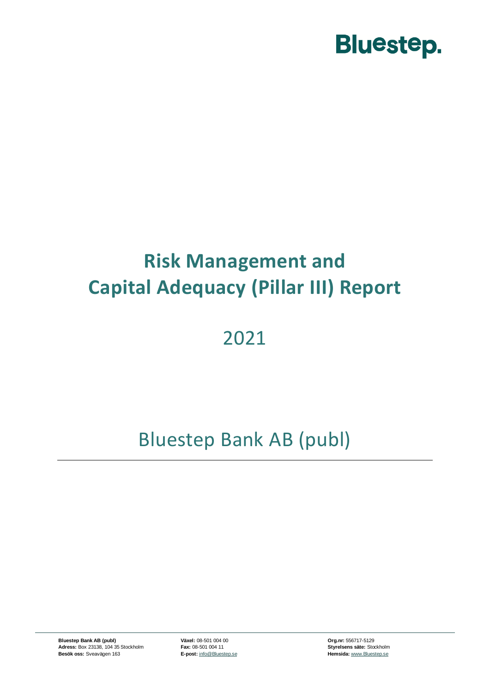

### **Risk Management and Capital Adequacy (Pillar III) Report**

### 2021

### Bluestep Bank AB (publ)

**Bluestep Bank AB (publ) Växel:** 08-501 004 00 **Org.nr:** 556717-5129 **Adress:** Box 23138, 104 35 Stockholm **Fax:** 08-501 004 11 **Styrelsens säte:** Stockholm **Besök oss:** Sveavägen 163 **E-post:** [info@Bluestep.se](mailto:info@bluestep.se) **Access Hemsida:** [www.Bluestep.se](http://www.bluestep.se/)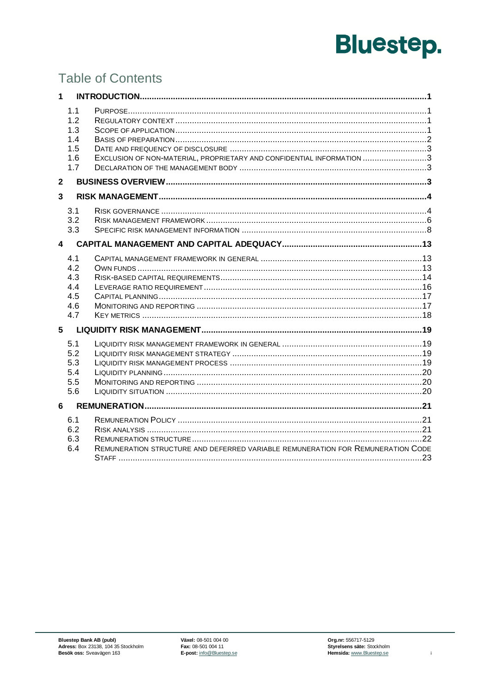### **Table of Contents**

| $\mathbf{1}$   |                                               |                                                                                 |  |
|----------------|-----------------------------------------------|---------------------------------------------------------------------------------|--|
|                | 1.1<br>1.2<br>1.3<br>1.4<br>1.5<br>1.6<br>1.7 | EXCLUSION OF NON-MATERIAL, PROPRIETARY AND CONFIDENTIAL INFORMATION 3           |  |
| $\mathbf{2}$   |                                               |                                                                                 |  |
| $\mathbf{3}$   |                                               |                                                                                 |  |
|                | 3.1<br>3.2<br>3.3                             |                                                                                 |  |
| $\overline{4}$ |                                               |                                                                                 |  |
|                | 4.1<br>4.2<br>4.3<br>4.4<br>4.5<br>4.6<br>4.7 |                                                                                 |  |
| 5              |                                               |                                                                                 |  |
|                | 5.1<br>5.2<br>5.3<br>5.4<br>5.5<br>5.6        |                                                                                 |  |
| 6              |                                               |                                                                                 |  |
|                | 6.1<br>6.2<br>6.3<br>6.4                      | REMUNERATION STRUCTURE AND DEFERRED VARIABLE REMUNERATION FOR REMUNERATION CODE |  |

 $\mathbf{i}$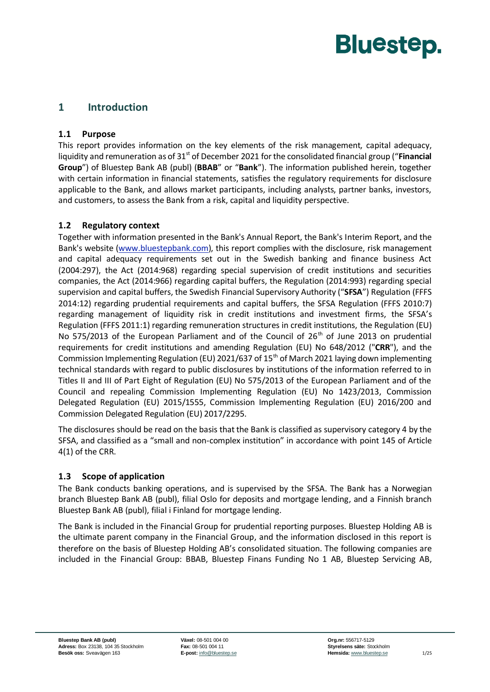#### <span id="page-2-1"></span><span id="page-2-0"></span>**1 Introduction**

#### **1.1 Purpose**

This report provides information on the key elements of the risk management, capital adequacy, liquidity and remuneration as of 31<sup>st</sup> of December 2021 for the consolidated financial group ("**Financial Group**") of Bluestep Bank AB (publ) (**BBAB**" or "**Bank**"). The information published herein, together with certain information in financial statements, satisfies the regulatory requirements for disclosure applicable to the Bank, and allows market participants, including analysts, partner banks, investors, and customers, to assess the Bank from a risk, capital and liquidity perspective.

#### <span id="page-2-2"></span>**1.2 Regulatory context**

Together with information presented in the Bank's Annual Report, the Bank's Interim Report, and the Bank's website [\(www.bluestepbank.com\)](http://www.bluestepbank.com/), this report complies with the disclosure, risk management and capital adequacy requirements set out in the Swedish banking and finance business Act (2004:297), the Act (2014:968) regarding special supervision of credit institutions and securities companies, the Act (2014:966) regarding capital buffers, the Regulation (2014:993) regarding special supervision and capital buffers, the Swedish Financial Supervisory Authority ("**SFSA**") Regulation (FFFS 2014:12) regarding prudential requirements and capital buffers, the SFSA Regulation (FFFS 2010:7) regarding management of liquidity risk in credit institutions and investment firms, the SFSA's Regulation (FFFS 2011:1) regarding remuneration structures in credit institutions, the Regulation (EU) No 575/2013 of the European Parliament and of the Council of  $26<sup>th</sup>$  of June 2013 on prudential requirements for credit institutions and amending Regulation (EU) No 648/2012 ("**CRR**"), and the Commission Implementing Regulation (EU) 2021/637 of 15<sup>th</sup> of March 2021 laying down implementing technical standards with regard to public disclosures by institutions of the information referred to in Titles II and III of Part Eight of Regulation (EU) No 575/2013 of the European Parliament and of the Council and repealing Commission Implementing Regulation (EU) No 1423/2013, Commission Delegated Regulation (EU) 2015/1555, Commission Implementing Regulation (EU) 2016/200 and Commission Delegated Regulation (EU) 2017/2295.

The disclosures should be read on the basis that the Bank is classified as supervisory category 4 by the SFSA, and classified as a "small and non-complex institution" in accordance with point 145 of Article 4(1) of the CRR.

#### <span id="page-2-3"></span>**1.3 Scope of application**

The Bank conducts banking operations, and is supervised by the SFSA. The Bank has a Norwegian branch Bluestep Bank AB (publ), filial Oslo for deposits and mortgage lending, and a Finnish branch Bluestep Bank AB (publ), filial i Finland for mortgage lending.

The Bank is included in the Financial Group for prudential reporting purposes. Bluestep Holding AB is the ultimate parent company in the Financial Group, and the information disclosed in this report is therefore on the basis of Bluestep Holding AB's consolidated situation. The following companies are included in the Financial Group: BBAB, Bluestep Finans Funding No 1 AB, Bluestep Servicing AB,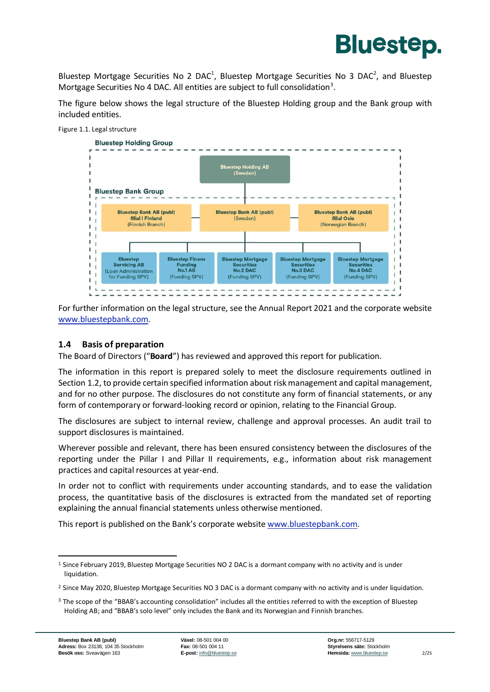

Bluestep Mortgage Securities No 2 DAC<sup>1</sup>, Bluestep Mortgage Securities No 3 DAC<sup>2</sup>, and Bluestep Mortgage Securities No 4 DAC. All entities are subject to full consolidation<sup>3</sup>.

The figure below shows the legal structure of the Bluestep Holding group and the Bank group with included entities.



For further information on the legal structure, see the Annual Report 2021 and the corporate website [www.bluestepbank.com.](http://www.bluestepbank.com/)

#### <span id="page-3-0"></span>**1.4 Basis of preparation**

The Board of Directors ("**Board**") has reviewed and approved this report for publication.

The information in this report is prepared solely to meet the disclosure requirements outlined in Section 1.2, to provide certain specified information about risk management and capital management, and for no other purpose. The disclosures do not constitute any form of financial statements, or any form of contemporary or forward-looking record or opinion, relating to the Financial Group.

The disclosures are subject to internal review, challenge and approval processes. An audit trail to support disclosures is maintained.

Wherever possible and relevant, there has been ensured consistency between the disclosures of the reporting under the Pillar I and Pillar II requirements, e.g., information about risk management practices and capital resources at year-end.

In order not to conflict with requirements under accounting standards, and to ease the validation process, the quantitative basis of the disclosures is extracted from the mandated set of reporting explaining the annual financial statements unless otherwise mentioned.

This report is published on the Bank's corporate website [www.bluestepbank.com.](http://www.bluestepbank.com/)

<sup>&</sup>lt;sup>1</sup> Since February 2019, Bluestep Mortgage Securities NO 2 DAC is a dormant company with no activity and is under liquidation.

<sup>&</sup>lt;sup>2</sup> Since May 2020, Bluestep Mortgage Securities NO 3 DAC is a dormant company with no activity and is under liquidation.

<sup>&</sup>lt;sup>3</sup> The scope of the "BBAB's accounting consolidation" includes all the entities referred to with the exception of Bluestep Holding AB; and "BBAB's solo level" only includes the Bank and its Norwegian and Finnish branches.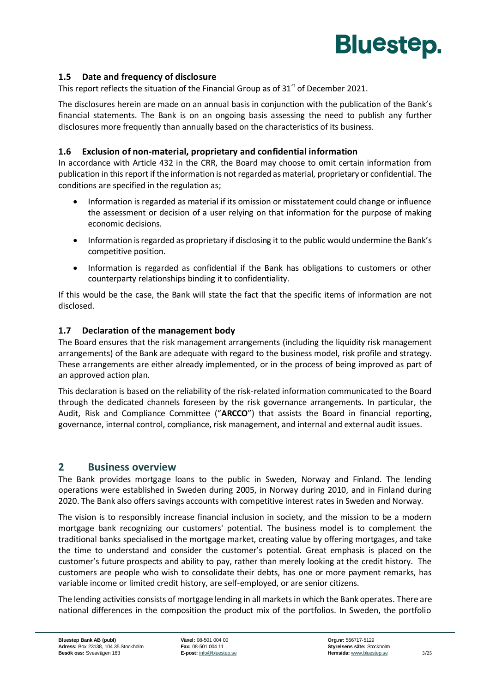

#### <span id="page-4-0"></span>**1.5 Date and frequency of disclosure**

This report reflects the situation of the Financial Group as of  $31<sup>st</sup>$  of December 2021.

The disclosures herein are made on an annual basis in conjunction with the publication of the Bank's financial statements. The Bank is on an ongoing basis assessing the need to publish any further disclosures more frequently than annually based on the characteristics of its business.

#### <span id="page-4-1"></span>**1.6 Exclusion of non-material, proprietary and confidential information**

In accordance with Article 432 in the CRR, the Board may choose to omit certain information from publication in this report if the information is not regarded as material, proprietary or confidential. The conditions are specified in the regulation as;

- Information is regarded as material if its omission or misstatement could change or influence the assessment or decision of a user relying on that information for the purpose of making economic decisions.
- Information is regarded as proprietary if disclosing it to the public would undermine the Bank's competitive position.
- Information is regarded as confidential if the Bank has obligations to customers or other counterparty relationships binding it to confidentiality.

If this would be the case, the Bank will state the fact that the specific items of information are not disclosed.

#### <span id="page-4-2"></span>**1.7 Declaration of the management body**

The Board ensures that the risk management arrangements (including the liquidity risk management arrangements) of the Bank are adequate with regard to the business model, risk profile and strategy. These arrangements are either already implemented, or in the process of being improved as part of an approved action plan.

This declaration is based on the reliability of the risk-related information communicated to the Board through the dedicated channels foreseen by the risk governance arrangements. In particular, the Audit, Risk and Compliance Committee ("**ARCCO**") that assists the Board in financial reporting, governance, internal control, compliance, risk management, and internal and external audit issues.

#### <span id="page-4-3"></span>**2 Business overview**

The Bank provides mortgage loans to the public in Sweden, Norway and Finland. The lending operations were established in Sweden during 2005, in Norway during 2010, and in Finland during 2020. The Bank also offers savings accounts with competitive interest rates in Sweden and Norway.

The vision is to responsibly increase financial inclusion in society, and the mission to be a modern mortgage bank recognizing our customers' potential. The business model is to complement the traditional banks specialised in the mortgage market, creating value by offering mortgages, and take the time to understand and consider the customer's potential. Great emphasis is placed on the customer's future prospects and ability to pay, rather than merely looking at the credit history. The customers are people who wish to consolidate their debts, has one or more payment remarks, has variable income or limited credit history, are self-employed, or are senior citizens.

The lending activities consists of mortgage lending in all markets in which the Bank operates. There are national differences in the composition the product mix of the portfolios. In Sweden, the portfolio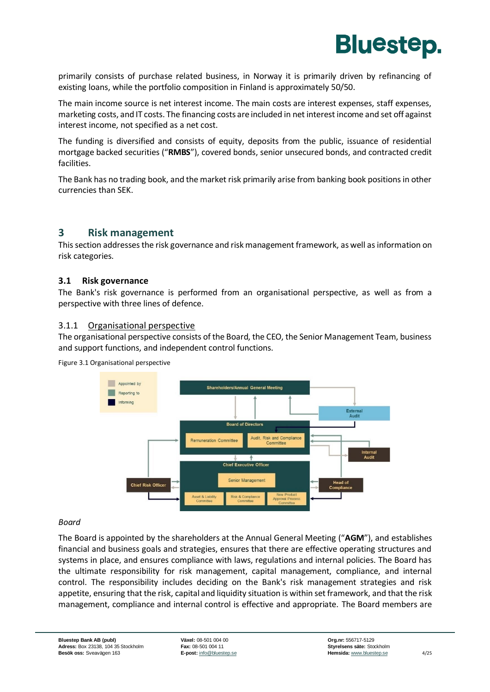

primarily consists of purchase related business, in Norway it is primarily driven by refinancing of existing loans, while the portfolio composition in Finland is approximately 50/50.

The main income source is net interest income. The main costs are interest expenses, staff expenses, marketing costs, and IT costs. The financing costs are included in net interest income and set off against interest income, not specified as a net cost.

The funding is diversified and consists of equity, deposits from the public, issuance of residential mortgage backed securities ("**RMBS**"), covered bonds, senior unsecured bonds, and contracted credit facilities.

The Bank has no trading book, and the market risk primarily arise from banking book positions in other currencies than SEK.

#### <span id="page-5-0"></span>**3 Risk management**

This section addresses the risk governance and risk management framework, as well as information on risk categories.

#### <span id="page-5-1"></span>**3.1 Risk governance**

The Bank's risk governance is performed from an organisational perspective, as well as from a perspective with three lines of defence.

#### 3.1.1 Organisational perspective

The organisational perspective consists of the Board, the CEO, the Senior Management Team, business and support functions, and independent control functions.

Figure 3.1 Organisational perspective



#### *Board*

The Board is appointed by the shareholders at the Annual General Meeting ("**AGM**"), and establishes financial and business goals and strategies, ensures that there are effective operating structures and systems in place, and ensures compliance with laws, regulations and internal policies. The Board has the ultimate responsibility for risk management, capital management, compliance, and internal control. The responsibility includes deciding on the Bank's risk management strategies and risk appetite, ensuring that the risk, capital and liquidity situation is within set framework, and that the risk management, compliance and internal control is effective and appropriate. The Board members are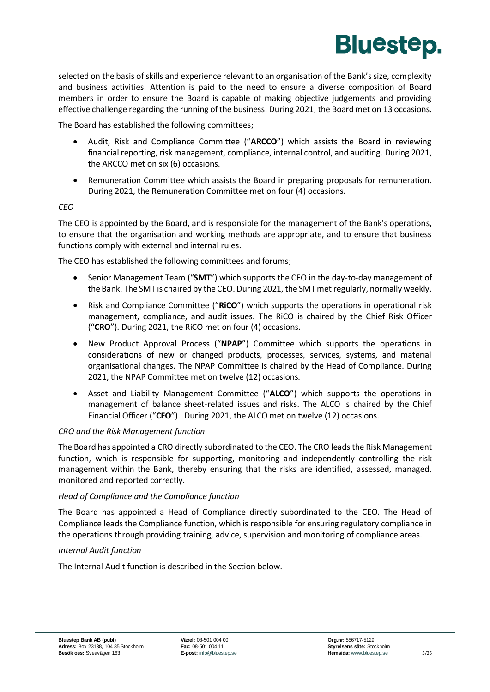

selected on the basis of skills and experience relevant to an organisation of the Bank's size, complexity and business activities. Attention is paid to the need to ensure a diverse composition of Board members in order to ensure the Board is capable of making objective judgements and providing effective challenge regarding the running of the business. During 2021, the Board met on 13 occasions.

The Board has established the following committees;

- Audit, Risk and Compliance Committee ("**ARCCO**") which assists the Board in reviewing financial reporting, risk management, compliance, internal control, and auditing. During 2021, the ARCCO met on six (6) occasions.
- Remuneration Committee which assists the Board in preparing proposals for remuneration. During 2021, the Remuneration Committee met on four (4) occasions.

#### *CEO*

The CEO is appointed by the Board, and is responsible for the management of the Bank's operations, to ensure that the organisation and working methods are appropriate, and to ensure that business functions comply with external and internal rules.

The CEO has established the following committees and forums;

- Senior Management Team ("**SMT**") which supports the CEO in the day-to-day management of the Bank. The SMT is chaired by the CEO. During 2021, the SMT met regularly, normally weekly.
- Risk and Compliance Committee ("**RiCO**") which supports the operations in operational risk management, compliance, and audit issues. The RiCO is chaired by the Chief Risk Officer ("**CRO**"). During 2021, the RiCO met on four (4) occasions.
- New Product Approval Process ("**NPAP**") Committee which supports the operations in considerations of new or changed products, processes, services, systems, and material organisational changes. The NPAP Committee is chaired by the Head of Compliance. During 2021, the NPAP Committee met on twelve (12) occasions.
- Asset and Liability Management Committee ("**ALCO**") which supports the operations in management of balance sheet-related issues and risks. The ALCO is chaired by the Chief Financial Officer ("**CFO**"). During 2021, the ALCO met on twelve (12) occasions.

#### *CRO and the Risk Management function*

The Board has appointed a CRO directly subordinated to the CEO. The CRO leads the Risk Management function, which is responsible for supporting, monitoring and independently controlling the risk management within the Bank, thereby ensuring that the risks are identified, assessed, managed, monitored and reported correctly.

#### *Head of Compliance and the Compliance function*

The Board has appointed a Head of Compliance directly subordinated to the CEO. The Head of Compliance leads the Compliance function, which is responsible for ensuring regulatory compliance in the operations through providing training, advice, supervision and monitoring of compliance areas.

#### *Internal Audit function*

The Internal Audit function is described in the Section below.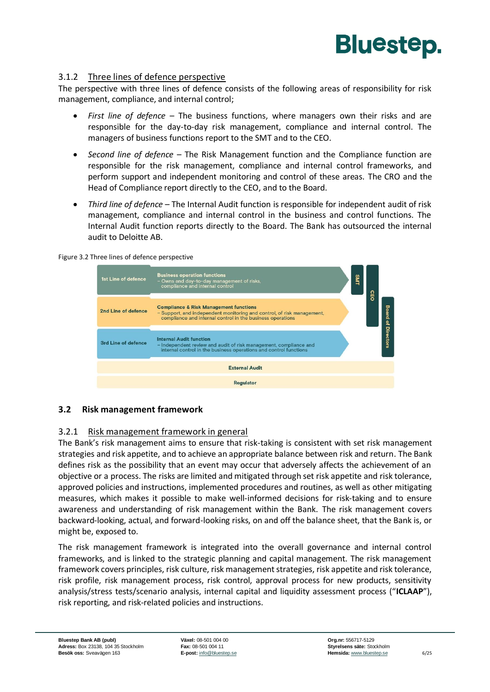

#### 3.1.2 Three lines of defence perspective

The perspective with three lines of defence consists of the following areas of responsibility for risk management, compliance, and internal control;

- *First line of defence* The business functions, where managers own their risks and are responsible for the day-to-day risk management, compliance and internal control. The managers of business functions report to the SMT and to the CEO.
- *Second line of defence* The Risk Management function and the Compliance function are responsible for the risk management, compliance and internal control frameworks, and perform support and independent monitoring and control of these areas. The CRO and the Head of Compliance report directly to the CEO, and to the Board.
- *Third line of defence* The Internal Audit function is responsible for independent audit of risk management, compliance and internal control in the business and control functions. The Internal Audit function reports directly to the Board. The Bank has outsourced the internal audit to Deloitte AB.

Figure 3.2 Three lines of defence perspective

| 1st Line of defence | <b>Business operation functions</b><br>- Owns and day-to-day management of risks,<br>compliance and internal control                                                                      | <b>SMT</b> | <u>င</u> ်င |              |
|---------------------|-------------------------------------------------------------------------------------------------------------------------------------------------------------------------------------------|------------|-------------|--------------|
| 2nd Line of defence | <b>Compliance &amp; Risk Management functions</b><br>- Support, and independent monitoring and control, of risk management,<br>compliance and internal control in the business operations |            |             | <b>Board</b> |
| 3rd Line of defence | <b>Internal Audit function</b><br>- Independent review and audit of risk management, compliance and<br>internal control in the business operations and control functions                  |            |             | of Directors |
|                     | <b>External Audit</b>                                                                                                                                                                     |            |             |              |
|                     | <b>Regulator</b>                                                                                                                                                                          |            |             |              |

#### <span id="page-7-0"></span>**3.2 Risk management framework**

#### 3.2.1 Risk management framework in general

The Bank's risk management aims to ensure that risk-taking is consistent with set risk management strategies and risk appetite, and to achieve an appropriate balance between risk and return. The Bank defines risk as the possibility that an event may occur that adversely affects the achievement of an objective or a process. The risks are limited and mitigated through set risk appetite and risk tolerance, approved policies and instructions, implemented procedures and routines, as well as other mitigating measures, which makes it possible to make well-informed decisions for risk-taking and to ensure awareness and understanding of risk management within the Bank. The risk management covers backward-looking, actual, and forward-looking risks, on and off the balance sheet, that the Bank is, or might be, exposed to.

The risk management framework is integrated into the overall governance and internal control frameworks, and is linked to the strategic planning and capital management. The risk management framework covers principles, risk culture, risk management strategies, risk appetite and risk tolerance, risk profile, risk management process, risk control, approval process for new products, sensitivity analysis/stress tests/scenario analysis, internal capital and liquidity assessment process ("**ICLAAP**"), risk reporting, and risk-related policies and instructions.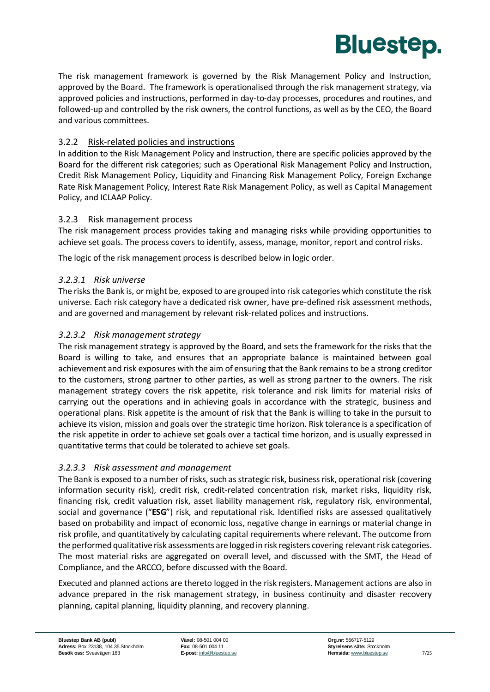

The risk management framework is governed by the Risk Management Policy and Instruction, approved by the Board. The framework is operationalised through the risk management strategy, via approved policies and instructions, performed in day-to-day processes, procedures and routines, and followed-up and controlled by the risk owners, the control functions, as well as by the CEO, the Board and various committees.

#### 3.2.2 Risk-related policies and instructions

In addition to the Risk Management Policy and Instruction, there are specific policies approved by the Board for the different risk categories; such as Operational Risk Management Policy and Instruction, Credit Risk Management Policy, Liquidity and Financing Risk Management Policy, Foreign Exchange Rate Risk Management Policy, Interest Rate Risk Management Policy, as well as Capital Management Policy, and ICLAAP Policy.

#### 3.2.3 Risk management process

The risk management process provides taking and managing risks while providing opportunities to achieve set goals. The process covers to identify, assess, manage, monitor, report and control risks.

The logic of the risk management process is described below in logic order.

#### *3.2.3.1 Risk universe*

The risks the Bank is, or might be, exposed to are grouped into risk categories which constitute the risk universe. Each risk category have a dedicated risk owner, have pre-defined risk assessment methods, and are governed and management by relevant risk-related polices and instructions.

#### *3.2.3.2 Risk management strategy*

The risk management strategy is approved by the Board, and sets the framework for the risks that the Board is willing to take, and ensures that an appropriate balance is maintained between goal achievement and risk exposures with the aim of ensuring that the Bank remains to be a strong creditor to the customers, strong partner to other parties, as well as strong partner to the owners. The risk management strategy covers the risk appetite, risk tolerance and risk limits for material risks of carrying out the operations and in achieving goals in accordance with the strategic, business and operational plans. Risk appetite is the amount of risk that the Bank is willing to take in the pursuit to achieve its vision, mission and goals over the strategic time horizon. Risk tolerance is a specification of the risk appetite in order to achieve set goals over a tactical time horizon, and is usually expressed in quantitative terms that could be tolerated to achieve set goals.

#### *3.2.3.3 Risk assessment and management*

The Bank is exposed to a number of risks, such as strategic risk, business risk, operational risk (covering information security risk), credit risk, credit-related concentration risk, market risks, liquidity risk, financing risk, credit valuation risk, asset liability management risk, regulatory risk, environmental, social and governance ("**ESG**") risk, and reputational risk. Identified risks are assessed qualitatively based on probability and impact of economic loss, negative change in earnings or material change in risk profile, and quantitatively by calculating capital requirements where relevant. The outcome from the performed qualitative risk assessments are logged in risk registers covering relevant risk categories. The most material risks are aggregated on overall level, and discussed with the SMT, the Head of Compliance, and the ARCCO, before discussed with the Board.

Executed and planned actions are thereto logged in the risk registers. Management actions are also in advance prepared in the risk management strategy, in business continuity and disaster recovery planning, capital planning, liquidity planning, and recovery planning.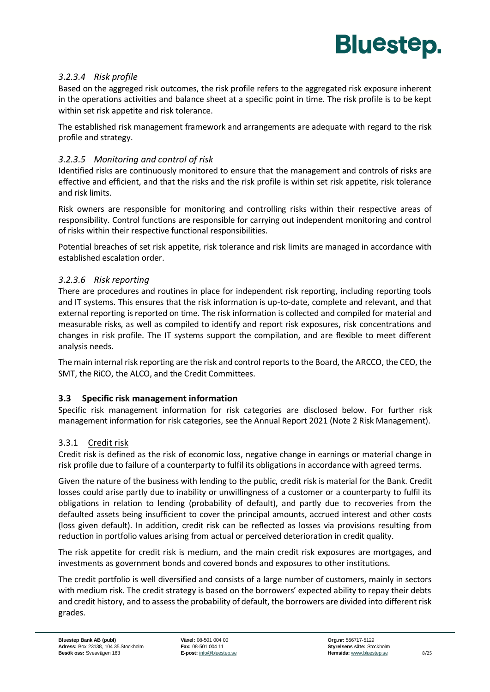

#### *3.2.3.4 Risk profile*

Based on the aggreged risk outcomes, the risk profile refers to the aggregated risk exposure inherent in the operations activities and balance sheet at a specific point in time. The risk profile is to be kept within set risk appetite and risk tolerance.

The established risk management framework and arrangements are adequate with regard to the risk profile and strategy.

#### *3.2.3.5 Monitoring and control of risk*

Identified risks are continuously monitored to ensure that the management and controls of risks are effective and efficient, and that the risks and the risk profile is within set risk appetite, risk tolerance and risk limits.

Risk owners are responsible for monitoring and controlling risks within their respective areas of responsibility. Control functions are responsible for carrying out independent monitoring and control of risks within their respective functional responsibilities.

Potential breaches of set risk appetite, risk tolerance and risk limits are managed in accordance with established escalation order.

#### *3.2.3.6 Risk reporting*

There are procedures and routines in place for independent risk reporting, including reporting tools and IT systems. This ensures that the risk information is up-to-date, complete and relevant, and that external reporting is reported on time. The risk information is collected and compiled for material and measurable risks, as well as compiled to identify and report risk exposures, risk concentrations and changes in risk profile. The IT systems support the compilation, and are flexible to meet different analysis needs.

The main internal risk reporting are the risk and control reports to the Board, the ARCCO, the CEO, the SMT, the RiCO, the ALCO, and the Credit Committees.

#### <span id="page-9-0"></span>**3.3 Specific risk management information**

Specific risk management information for risk categories are disclosed below. For further risk management information for risk categories, see the Annual Report 2021 (Note 2 Risk Management).

#### 3.3.1 Credit risk

Credit risk is defined as the risk of economic loss, negative change in earnings or material change in risk profile due to failure of a counterparty to fulfil its obligations in accordance with agreed terms.

Given the nature of the business with lending to the public, credit risk is material for the Bank. Credit losses could arise partly due to inability or unwillingness of a customer or a counterparty to fulfil its obligations in relation to lending (probability of default), and partly due to recoveries from the defaulted assets being insufficient to cover the principal amounts, accrued interest and other costs (loss given default). In addition, credit risk can be reflected as losses via provisions resulting from reduction in portfolio values arising from actual or perceived deterioration in credit quality.

The risk appetite for credit risk is medium, and the main credit risk exposures are mortgages, and investments as government bonds and covered bonds and exposures to other institutions.

The credit portfolio is well diversified and consists of a large number of customers, mainly in sectors with medium risk. The credit strategy is based on the borrowers' expected ability to repay their debts and credit history, and to assess the probability of default, the borrowers are divided into different risk grades.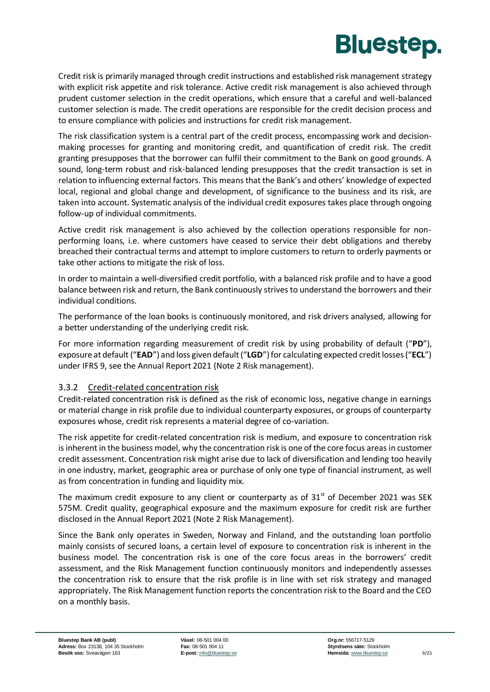Credit risk is primarily managed through credit instructions and established risk management strategy with explicit risk appetite and risk tolerance. Active credit risk management is also achieved through prudent customer selection in the credit operations, which ensure that a careful and well-balanced customer selection is made. The credit operations are responsible for the credit decision process and to ensure compliance with policies and instructions for credit risk management.

The risk classification system is a central part of the credit process, encompassing work and decisionmaking processes for granting and monitoring credit, and quantification of credit risk. The credit granting presupposes that the borrower can fulfil their commitment to the Bank on good grounds. A sound, long-term robust and risk-balanced lending presupposes that the credit transaction is set in relation to influencing external factors. This means that the Bank's and others' knowledge of expected local, regional and global change and development, of significance to the business and its risk, are taken into account. Systematic analysis of the individual credit exposures takes place through ongoing follow-up of individual commitments.

Active credit risk management is also achieved by the collection operations responsible for nonperforming loans, i.e. where customers have ceased to service their debt obligations and thereby breached their contractual terms and attempt to implore customers to return to orderly payments or take other actions to mitigate the risk of loss.

In order to maintain a well-diversified credit portfolio, with a balanced risk profile and to have a good balance between risk and return, the Bank continuously strives to understand the borrowers and their individual conditions.

The performance of the loan books is continuously monitored, and risk drivers analysed, allowing for a better understanding of the underlying credit risk.

For more information regarding measurement of credit risk by using probability of default ("**PD**"), exposure at default ("**EAD**") and loss given default ("LGD") for calculating expected credit losses ("ECL") under IFRS 9, see the Annual Report 2021 (Note 2 Risk management).

#### 3.3.2 Credit-related concentration risk

Credit-related concentration risk is defined as the risk of economic loss, negative change in earnings or material change in risk profile due to individual counterparty exposures, or groups of counterparty exposures whose, credit risk represents a material degree of co-variation.

The risk appetite for credit-related concentration risk is medium, and exposure to concentration risk is inherent in the business model, why the concentration risk is one of the core focus areas in customer credit assessment. Concentration risk might arise due to lack of diversification and lending too heavily in one industry, market, geographic area or purchase of only one type of financial instrument, as well as from concentration in funding and liquidity mix.

The maximum credit exposure to any client or counterparty as of  $31<sup>st</sup>$  of December 2021 was SEK 575M. Credit quality, geographical exposure and the maximum exposure for credit risk are further disclosed in the Annual Report 2021 (Note 2 Risk Management).

Since the Bank only operates in Sweden, Norway and Finland, and the outstanding loan portfolio mainly consists of secured loans, a certain level of exposure to concentration risk is inherent in the business model. The concentration risk is one of the core focus areas in the borrowers' credit assessment, and the Risk Management function continuously monitors and independently assesses the concentration risk to ensure that the risk profile is in line with set risk strategy and managed appropriately. The Risk Management function reports the concentration risk to the Board and the CEO on a monthly basis.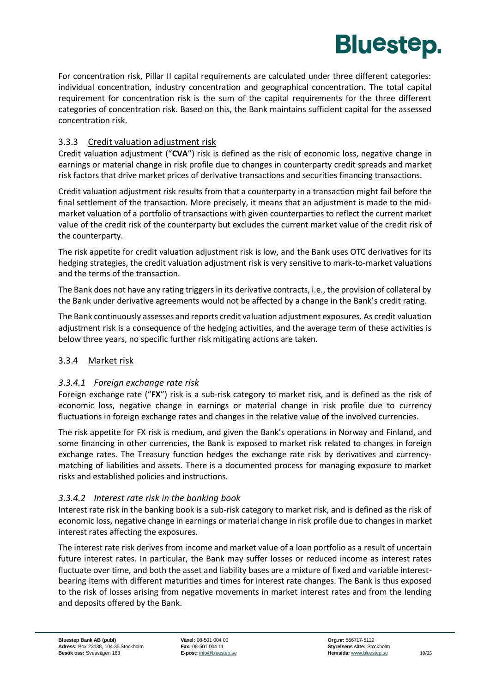

For concentration risk, Pillar II capital requirements are calculated under three different categories: individual concentration, industry concentration and geographical concentration. The total capital requirement for concentration risk is the sum of the capital requirements for the three different categories of concentration risk. Based on this, the Bank maintains sufficient capital for the assessed concentration risk.

#### 3.3.3 Credit valuation adjustment risk

Credit valuation adjustment ("**CVA**") risk is defined as the risk of economic loss, negative change in earnings or material change in risk profile due to changes in counterparty credit spreads and market risk factors that drive market prices of derivative transactions and securities financing transactions.

Credit valuation adjustment risk results from that a counterparty in a transaction might fail before the final settlement of the transaction. More precisely, it means that an adjustment is made to the mid‐ market valuation of a portfolio of transactions with given counterparties to reflect the current market value of the credit risk of the counterparty but excludes the current market value of the credit risk of the counterparty.

The risk appetite for credit valuation adjustment risk is low, and the Bank uses OTC derivatives for its hedging strategies, the credit valuation adjustment risk is very sensitive to mark-to-market valuations and the terms of the transaction.

The Bank does not have any rating triggers in its derivative contracts, i.e., the provision of collateral by the Bank under derivative agreements would not be affected by a change in the Bank's credit rating.

The Bank continuously assesses and reports credit valuation adjustment exposures. As credit valuation adjustment risk is a consequence of the hedging activities, and the average term of these activities is below three years, no specific further risk mitigating actions are taken.

#### 3.3.4 Market risk

#### *3.3.4.1 Foreign exchange rate risk*

Foreign exchange rate ("**FX**") risk is a sub-risk category to market risk, and is defined as the risk of economic loss, negative change in earnings or material change in risk profile due to currency fluctuations in foreign exchange rates and changes in the relative value of the involved currencies.

The risk appetite for FX risk is medium, and given the Bank's operations in Norway and Finland, and some financing in other currencies, the Bank is exposed to market risk related to changes in foreign exchange rates. The Treasury function hedges the exchange rate risk by derivatives and currencymatching of liabilities and assets. There is a documented process for managing exposure to market risks and established policies and instructions.

#### *3.3.4.2 Interest rate risk in the banking book*

Interest rate risk in the banking book is a sub-risk category to market risk, and is defined as the risk of economic loss, negative change in earnings or material change in risk profile due to changes in market interest rates affecting the exposures.

The interest rate risk derives from income and market value of a loan portfolio as a result of uncertain future interest rates. In particular, the Bank may suffer losses or reduced income as interest rates fluctuate over time, and both the asset and liability bases are a mixture of fixed and variable interestbearing items with different maturities and times for interest rate changes. The Bank is thus exposed to the risk of losses arising from negative movements in market interest rates and from the lending and deposits offered by the Bank.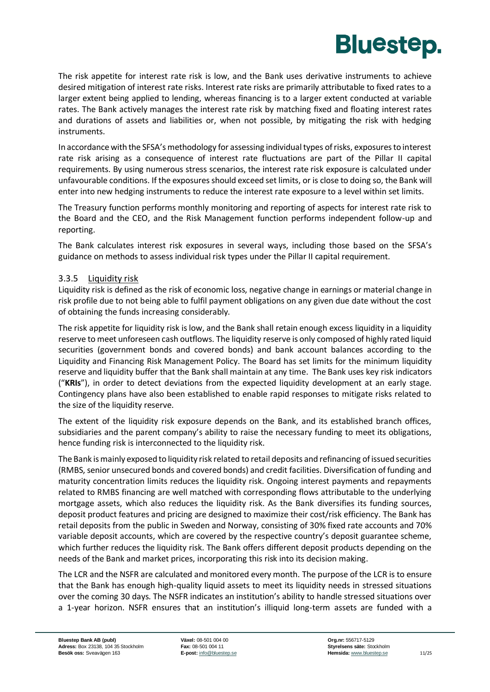

The risk appetite for interest rate risk is low, and the Bank uses derivative instruments to achieve desired mitigation of interest rate risks. Interest rate risks are primarily attributable to fixed rates to a larger extent being applied to lending, whereas financing is to a larger extent conducted at variable rates. The Bank actively manages the interest rate risk by matching fixed and floating interest rates and durations of assets and liabilities or, when not possible, by mitigating the risk with hedging instruments.

In accordance with the SFSA's methodology for assessing individual types of risks, exposures to interest rate risk arising as a consequence of interest rate fluctuations are part of the Pillar II capital requirements. By using numerous stress scenarios, the interest rate risk exposure is calculated under unfavourable conditions. If the exposures should exceed set limits, or is close to doing so, the Bank will enter into new hedging instruments to reduce the interest rate exposure to a level within set limits.

The Treasury function performs monthly monitoring and reporting of aspects for interest rate risk to the Board and the CEO, and the Risk Management function performs independent follow-up and reporting.

The Bank calculates interest risk exposures in several ways, including those based on the SFSA's guidance on methods to assess individual risk types under the Pillar II capital requirement.

#### 3.3.5 Liquidity risk

Liquidity risk is defined as the risk of economic loss, negative change in earnings or material change in risk profile due to not being able to fulfil payment obligations on any given due date without the cost of obtaining the funds increasing considerably.

The risk appetite for liquidity risk is low, and the Bank shall retain enough excess liquidity in a liquidity reserve to meet unforeseen cash outflows. The liquidity reserve is only composed of highly rated liquid securities (government bonds and covered bonds) and bank account balances according to the Liquidity and Financing Risk Management Policy. The Board has set limits for the minimum liquidity reserve and liquidity buffer that the Bank shall maintain at any time. The Bank uses key risk indicators ("**KRIs**"), in order to detect deviations from the expected liquidity development at an early stage. Contingency plans have also been established to enable rapid responses to mitigate risks related to the size of the liquidity reserve.

The extent of the liquidity risk exposure depends on the Bank, and its established branch offices, subsidiaries and the parent company's ability to raise the necessary funding to meet its obligations, hence funding risk is interconnected to the liquidity risk.

The Bank is mainly exposed to liquidity risk related to retail deposits and refinancing of issued securities (RMBS, senior unsecured bonds and covered bonds) and credit facilities. Diversification of funding and maturity concentration limits reduces the liquidity risk. Ongoing interest payments and repayments related to RMBS financing are well matched with corresponding flows attributable to the underlying mortgage assets, which also reduces the liquidity risk. As the Bank diversifies its funding sources, deposit product features and pricing are designed to maximize their cost/risk efficiency. The Bank has retail deposits from the public in Sweden and Norway, consisting of 30% fixed rate accounts and 70% variable deposit accounts, which are covered by the respective country's deposit guarantee scheme, which further reduces the liquidity risk. The Bank offers different deposit products depending on the needs of the Bank and market prices, incorporating this risk into its decision making.

The LCR and the NSFR are calculated and monitored every month. The purpose of the LCR is to ensure that the Bank has enough high-quality liquid assets to meet its liquidity needs in stressed situations over the coming 30 days. The NSFR indicates an institution's ability to handle stressed situations over a 1-year horizon. NSFR ensures that an institution's illiquid long-term assets are funded with a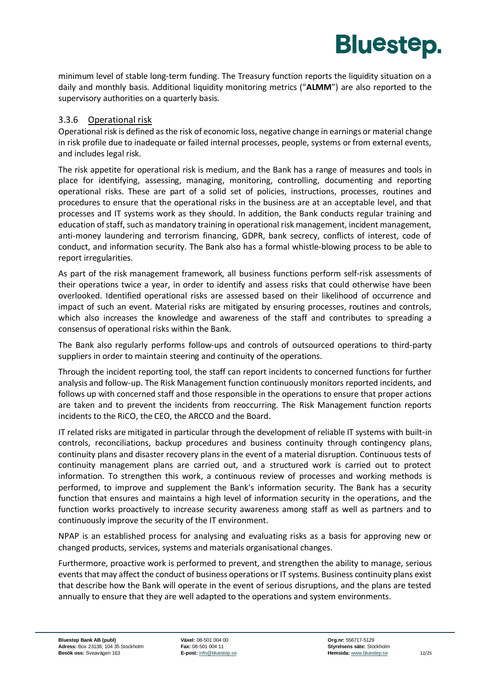minimum level of stable long-term funding. The Treasury function reports the liquidity situation on a daily and monthly basis. Additional liquidity monitoring metrics ("**ALMM**") are also reported to the supervisory authorities on a quarterly basis.

**Bluestep.** 

#### 3.3.6 Operational risk

Operational risk is defined as the risk of economic loss, negative change in earnings or material change in risk profile due to inadequate or failed internal processes, people, systems or from external events, and includes legal risk.

The risk appetite for operational risk is medium, and the Bank has a range of measures and tools in place for identifying, assessing, managing, monitoring, controlling, documenting and reporting operational risks. These are part of a solid set of policies, instructions, processes, routines and procedures to ensure that the operational risks in the business are at an acceptable level, and that processes and IT systems work as they should. In addition, the Bank conducts regular training and education of staff, such as mandatory training in operational risk management, incident management, anti-money laundering and terrorism financing, GDPR, bank secrecy, conflicts of interest, code of conduct, and information security. The Bank also has a formal whistle-blowing process to be able to report irregularities.

As part of the risk management framework, all business functions perform self-risk assessments of their operations twice a year, in order to identify and assess risks that could otherwise have been overlooked. Identified operational risks are assessed based on their likelihood of occurrence and impact of such an event. Material risks are mitigated by ensuring processes, routines and controls, which also increases the knowledge and awareness of the staff and contributes to spreading a consensus of operational risks within the Bank.

The Bank also regularly performs follow-ups and controls of outsourced operations to third-party suppliers in order to maintain steering and continuity of the operations.

Through the incident reporting tool, the staff can report incidents to concerned functions for further analysis and follow-up. The Risk Management function continuously monitors reported incidents, and follows up with concerned staff and those responsible in the operations to ensure that proper actions are taken and to prevent the incidents from reoccurring. The Risk Management function reports incidents to the RiCO, the CEO, the ARCCO and the Board.

IT related risks are mitigated in particular through the development of reliable IT systems with built-in controls, reconciliations, backup procedures and business continuity through contingency plans, continuity plans and disaster recovery plans in the event of a material disruption. Continuous tests of continuity management plans are carried out, and a structured work is carried out to protect information. To strengthen this work, a continuous review of processes and working methods is performed, to improve and supplement the Bank's information security. The Bank has a security function that ensures and maintains a high level of information security in the operations, and the function works proactively to increase security awareness among staff as well as partners and to continuously improve the security of the IT environment.

NPAP is an established process for analysing and evaluating risks as a basis for approving new or changed products, services, systems and materials organisational changes.

Furthermore, proactive work is performed to prevent, and strengthen the ability to manage, serious events that may affect the conduct of business operations or IT systems. Business continuity plans exist that describe how the Bank will operate in the event of serious disruptions, and the plans are tested annually to ensure that they are well adapted to the operations and system environments.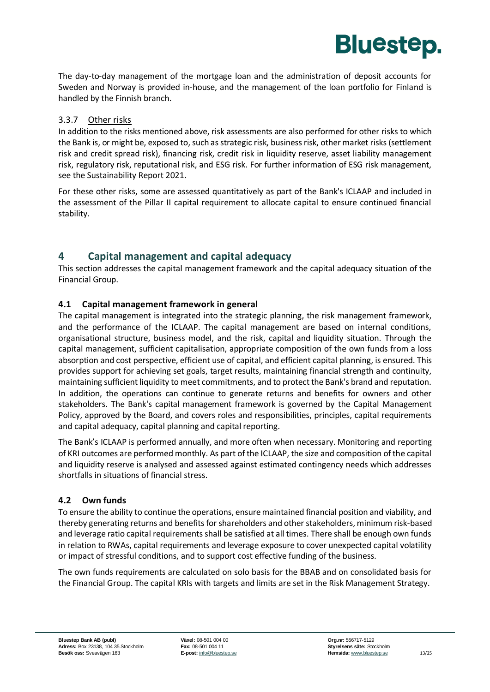The day-to-day management of the mortgage loan and the administration of deposit accounts for Sweden and Norway is provided in-house, and the management of the loan portfolio for Finland is handled by the Finnish branch.

**Bluestep.** 

#### 3.3.7 Other risks

In addition to the risks mentioned above, risk assessments are also performed for other risks to which the Bank is, or might be, exposed to, such as strategic risk, business risk, other market risks (settlement risk and credit spread risk), financing risk, credit risk in liquidity reserve, asset liability management risk, regulatory risk, reputational risk, and ESG risk. For further information of ESG risk management, see the Sustainability Report 2021.

For these other risks, some are assessed quantitatively as part of the Bank's ICLAAP and included in the assessment of the Pillar II capital requirement to allocate capital to ensure continued financial stability.

#### <span id="page-14-0"></span>**4 Capital management and capital adequacy**

This section addresses the capital management framework and the capital adequacy situation of the Financial Group.

#### <span id="page-14-1"></span>**4.1 Capital management framework in general**

The capital management is integrated into the strategic planning, the risk management framework, and the performance of the ICLAAP. The capital management are based on internal conditions, organisational structure, business model, and the risk, capital and liquidity situation. Through the capital management, sufficient capitalisation, appropriate composition of the own funds from a loss absorption and cost perspective, efficient use of capital, and efficient capital planning, is ensured. This provides support for achieving set goals, target results, maintaining financial strength and continuity, maintaining sufficient liquidity to meet commitments, and to protect the Bank's brand and reputation. In addition, the operations can continue to generate returns and benefits for owners and other stakeholders. The Bank's capital management framework is governed by the Capital Management Policy, approved by the Board, and covers roles and responsibilities, principles, capital requirements and capital adequacy, capital planning and capital reporting.

The Bank's ICLAAP is performed annually, and more often when necessary. Monitoring and reporting of KRI outcomes are performed monthly. As part of the ICLAAP, the size and composition of the capital and liquidity reserve is analysed and assessed against estimated contingency needs which addresses shortfalls in situations of financial stress.

#### <span id="page-14-2"></span>**4.2 Own funds**

To ensure the ability to continue the operations, ensure maintained financial position and viability, and thereby generating returns and benefits for shareholders and other stakeholders, minimum risk-based and leverage ratio capital requirements shall be satisfied at all times. There shall be enough own funds in relation to RWAs, capital requirements and leverage exposure to cover unexpected capital volatility or impact of stressful conditions, and to support cost effective funding of the business.

The own funds requirements are calculated on solo basis for the BBAB and on consolidated basis for the Financial Group. The capital KRIs with targets and limits are set in the Risk Management Strategy.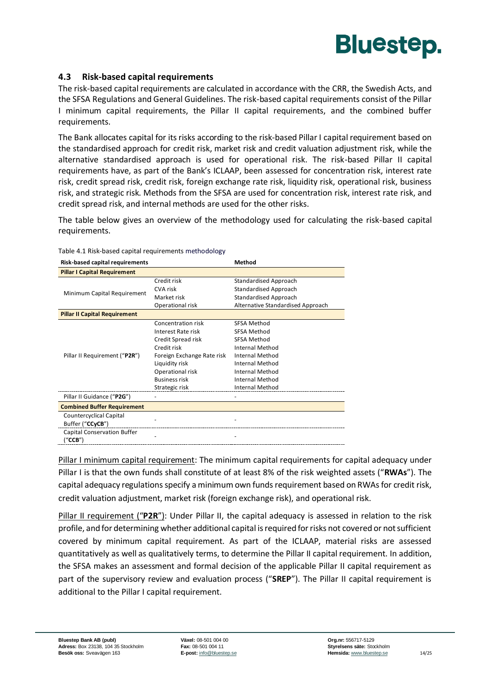

#### <span id="page-15-0"></span>**4.3 Risk-based capital requirements**

The risk-based capital requirements are calculated in accordance with the CRR, the Swedish Acts, and the SFSA Regulations and General Guidelines. The risk-based capital requirements consist of the Pillar I minimum capital requirements, the Pillar II capital requirements, and the combined buffer requirements.

The Bank allocates capital for its risks according to the risk-based Pillar I capital requirement based on the standardised approach for credit risk, market risk and credit valuation adjustment risk, while the alternative standardised approach is used for operational risk. The risk-based Pillar II capital requirements have, as part of the Bank's ICLAAP, been assessed for concentration risk, interest rate risk, credit spread risk, credit risk, foreign exchange rate risk, liquidity risk, operational risk, business risk, and strategic risk. Methods from the SFSA are used for concentration risk, interest rate risk, and credit spread risk, and internal methods are used for the other risks.

The table below gives an overview of the methodology used for calculating the risk-based capital requirements.

|                            | Method                            |
|----------------------------|-----------------------------------|
|                            |                                   |
| Credit risk                | Standardised Approach             |
| CVA risk                   | Standardised Approach             |
| Market risk                | Standardised Approach             |
| Operational risk           | Alternative Standardised Approach |
|                            |                                   |
| Concentration risk         | <b>SFSA Method</b>                |
| Interest Rate risk         | SFSA Method                       |
| Credit Spread risk         | <b>SFSA Method</b>                |
| Credit risk                | <b>Internal Method</b>            |
| Foreign Exchange Rate risk | Internal Method                   |
| Liquidity risk             | <b>Internal Method</b>            |
| Operational risk           | Internal Method                   |
| <b>Business risk</b>       | <b>Internal Method</b>            |
| Strategic risk             | Internal Method                   |
|                            |                                   |
|                            |                                   |
|                            |                                   |
|                            |                                   |
|                            |                                   |
|                            |                                   |
|                            |                                   |

#### Table 4.1 Risk-based capital requirements methodology

Pillar I minimum capital requirement: The minimum capital requirements for capital adequacy under Pillar I is that the own funds shall constitute of at least 8% of the risk weighted assets ("**RWAs**"). The capital adequacy regulations specify a minimum own funds requirement based on RWAs for credit risk, credit valuation adjustment, market risk (foreign exchange risk), and operational risk.

Pillar II requirement ("**P2R**"): Under Pillar II, the capital adequacy is assessed in relation to the risk profile, and for determining whether additional capital is required for risks not covered or not sufficient covered by minimum capital requirement. As part of the ICLAAP, material risks are assessed quantitatively as well as qualitatively terms, to determine the Pillar II capital requirement. In addition, the SFSA makes an assessment and formal decision of the applicable Pillar II capital requirement as part of the supervisory review and evaluation process ("**SREP**"). The Pillar II capital requirement is additional to the Pillar I capital requirement.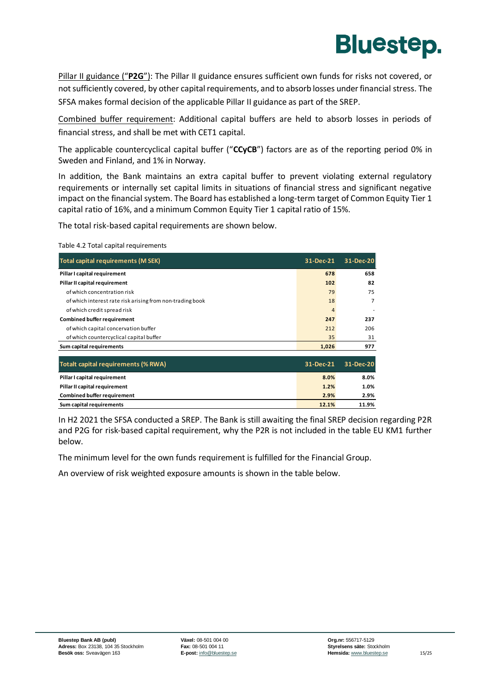

Pillar II guidance ("**P2G**"): The Pillar II guidance ensures sufficient own funds for risks not covered, or not sufficiently covered, by other capital requirements, and to absorb losses under financial stress. The SFSA makes formal decision of the applicable Pillar II guidance as part of the SREP.

Combined buffer requirement: Additional capital buffers are held to absorb losses in periods of financial stress, and shall be met with CET1 capital.

The applicable countercyclical capital buffer ("**CCyCB**") factors are as of the reporting period 0% in Sweden and Finland, and 1% in Norway.

In addition, the Bank maintains an extra capital buffer to prevent violating external regulatory requirements or internally set capital limits in situations of financial stress and significant negative impact on the financial system. The Board has established a long-term target of Common Equity Tier 1 capital ratio of 16%, and a minimum Common Equity Tier 1 capital ratio of 15%.

The total risk-based capital requirements are shown below.

#### Table 4.2 Total capital requirements

| Total capital requirements (M SEK)                        | 31-Dec-21 | 31-Dec-20 |
|-----------------------------------------------------------|-----------|-----------|
| Pillar I capital requirement                              | 678       | 658       |
| Pillar II capital requirement                             | 102       | 82        |
| of which concentration risk                               | 79        | 75        |
| of which interest rate risk arising from non-trading book | 18        | 7         |
| of which credit spread risk                               | 4         |           |
| <b>Combined buffer requirement</b>                        | 247       | 237       |
| of which capital concervation buffer                      | 212       | 206       |
| of which countercyclical capital buffer                   | 35        | 31        |
| Sum capital requirements                                  | 1,026     | 977       |
| <b>Totalt capital requirements (% RWA)</b>                | 31-Dec-21 | 31-Dec-20 |
| Pillar I capital requirement                              | 8.0%      | 8.0%      |
| Pillar II capital requirement                             | 1.2%      | 1.0%      |
| <b>Combined buffer requirement</b>                        | 2.9%      | 2.9%      |
| Sum capital requirements                                  | 12.1%     | 11.9%     |

In H2 2021 the SFSA conducted a SREP. The Bank is still awaiting the final SREP decision regarding P2R and P2G for risk-based capital requirement, why the P2R is not included in the table EU KM1 further below.

The minimum level for the own funds requirement is fulfilled for the Financial Group.

An overview of risk weighted exposure amounts is shown in the table below.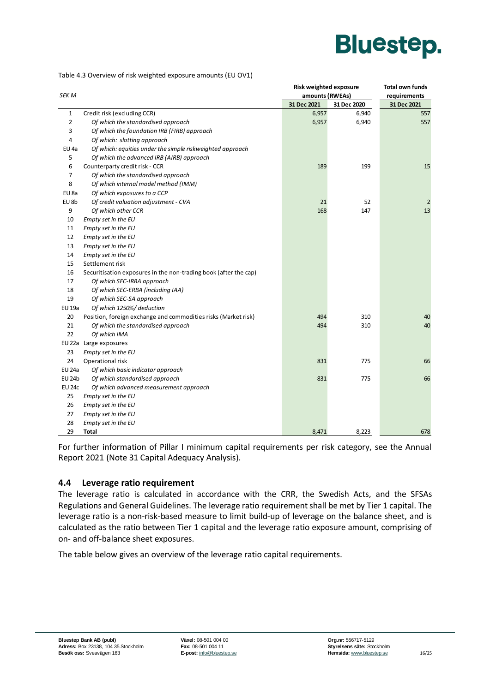

Table 4.3 Overview of risk weighted exposure amounts (EU OV1)

|                |                                                                  | Risk weighted exposure | <b>Total own funds</b> |                |  |  |
|----------------|------------------------------------------------------------------|------------------------|------------------------|----------------|--|--|
| <b>SEK M</b>   |                                                                  | amounts (RWEAs)        |                        | requirements   |  |  |
|                |                                                                  | 31 Dec 2021            | 31 Dec 2020            | 31 Dec 2021    |  |  |
| $\mathbf 1$    | Credit risk (excluding CCR)                                      | 6,957                  | 6,940                  | 557            |  |  |
| $\overline{2}$ | Of which the standardised approach                               | 6,957                  | 6,940                  | 557            |  |  |
| 3              | Of which the foundation IRB (FIRB) approach                      |                        |                        |                |  |  |
| 4              | Of which: slotting approach                                      |                        |                        |                |  |  |
| EU 4a          | Of which: equities under the simple riskweighted approach        |                        |                        |                |  |  |
| 5              | Of which the advanced IRB (AIRB) approach                        |                        |                        |                |  |  |
| 6              | Counterparty credit risk - CCR                                   | 189                    | 199                    | 15             |  |  |
| $\overline{7}$ | Of which the standardised approach                               |                        |                        |                |  |  |
| 8              | Of which internal model method (IMM)                             |                        |                        |                |  |  |
| EU 8a          | Of which exposures to a CCP                                      |                        |                        |                |  |  |
| EU 8b          | Of credit valuation adjustment - CVA                             | 21                     | 52                     | $\overline{2}$ |  |  |
| 9              | Of which other CCR                                               | 168                    | 147                    | 13             |  |  |
| 10             | Empty set in the EU                                              |                        |                        |                |  |  |
| 11             | Empty set in the EU                                              |                        |                        |                |  |  |
| 12             | Empty set in the EU                                              |                        |                        |                |  |  |
| 13             | Empty set in the EU                                              |                        |                        |                |  |  |
| 14             | Empty set in the EU                                              |                        |                        |                |  |  |
| 15             | Settlement risk                                                  |                        |                        |                |  |  |
| 16             | Securitisation exposures in the non-trading book (after the cap) |                        |                        |                |  |  |
| 17             | Of which SEC-IRBA approach                                       |                        |                        |                |  |  |
| 18             | Of which SEC-ERBA (including IAA)                                |                        |                        |                |  |  |
| 19             | Of which SEC-SA approach                                         |                        |                        |                |  |  |
| EU 19a         | Of which 1250%/ deduction                                        |                        |                        |                |  |  |
| 20             | Position, foreign exchange and commodities risks (Market risk)   | 494                    | 310                    | 40             |  |  |
| 21             | Of which the standardised approach                               | 494                    | 310                    | 40             |  |  |
| 22             | Of which IMA                                                     |                        |                        |                |  |  |
| EU 22a         | Large exposures                                                  |                        |                        |                |  |  |
| 23             | Empty set in the EU                                              |                        |                        |                |  |  |
| 24             | Operational risk                                                 | 831                    | 775                    | 66             |  |  |
| <b>EU 24a</b>  | Of which basic indicator approach                                |                        |                        |                |  |  |
| EU 24b         | Of which standardised approach                                   | 831                    | 775                    | 66             |  |  |
| <b>EU 24c</b>  | Of which advanced measurement approach                           |                        |                        |                |  |  |
| 25             | Empty set in the EU                                              |                        |                        |                |  |  |
| 26             | Empty set in the EU                                              |                        |                        |                |  |  |
| 27             | Empty set in the EU                                              |                        |                        |                |  |  |
| 28             | Empty set in the EU                                              |                        |                        |                |  |  |
| 29             | Total                                                            | 8,471                  | 8,223                  | 678            |  |  |

For further information of Pillar I minimum capital requirements per risk category, see the Annual Report 2021 (Note 31 Capital Adequacy Analysis).

#### <span id="page-17-0"></span>**4.4 Leverage ratio requirement**

The leverage ratio is calculated in accordance with the CRR, the Swedish Acts, and the SFSAs Regulations and General Guidelines. The leverage ratio requirement shall be met by Tier 1 capital. The leverage ratio is a non-risk-based measure to limit build-up of leverage on the balance sheet, and is calculated as the ratio between Tier 1 capital and the leverage ratio exposure amount, comprising of on- and off-balance sheet exposures.

The table below gives an overview of the leverage ratio capital requirements.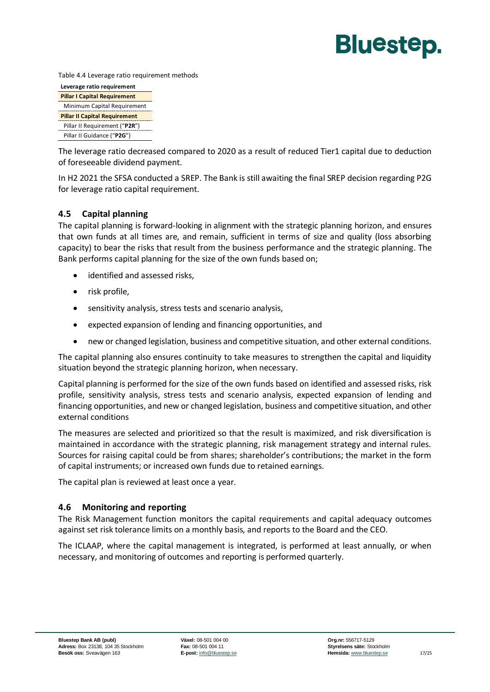Table 4.4 Leverage ratio requirement methods

| Leverage ratio requirement           |  |  |  |  |
|--------------------------------------|--|--|--|--|
| <b>Pillar I Capital Requirement</b>  |  |  |  |  |
| Minimum Capital Requirement          |  |  |  |  |
| <b>Pillar II Capital Requirement</b> |  |  |  |  |
| Pillar II Requirement ("P2R")        |  |  |  |  |
| Pillar II Guidance ("P2G")           |  |  |  |  |

The leverage ratio decreased compared to 2020 as a result of reduced Tier1 capital due to deduction of foreseeable dividend payment.

In H2 2021 the SFSA conducted a SREP. The Bank is still awaiting the final SREP decision regarding P2G for leverage ratio capital requirement.

#### <span id="page-18-0"></span>**4.5 Capital planning**

The capital planning is forward-looking in alignment with the strategic planning horizon, and ensures that own funds at all times are, and remain, sufficient in terms of size and quality (loss absorbing capacity) to bear the risks that result from the business performance and the strategic planning. The Bank performs capital planning for the size of the own funds based on;

- identified and assessed risks,
- risk profile,
- sensitivity analysis, stress tests and scenario analysis,
- expected expansion of lending and financing opportunities, and
- new or changed legislation, business and competitive situation, and other external conditions.

The capital planning also ensures continuity to take measures to strengthen the capital and liquidity situation beyond the strategic planning horizon, when necessary.

Capital planning is performed for the size of the own funds based on identified and assessed risks, risk profile, sensitivity analysis, stress tests and scenario analysis, expected expansion of lending and financing opportunities, and new or changed legislation, business and competitive situation, and other external conditions

The measures are selected and prioritized so that the result is maximized, and risk diversification is maintained in accordance with the strategic planning, risk management strategy and internal rules. Sources for raising capital could be from shares; shareholder's contributions; the market in the form of capital instruments; or increased own funds due to retained earnings.

The capital plan is reviewed at least once a year.

#### <span id="page-18-1"></span>**4.6 Monitoring and reporting**

The Risk Management function monitors the capital requirements and capital adequacy outcomes against set risk tolerance limits on a monthly basis, and reports to the Board and the CEO.

The ICLAAP, where the capital management is integrated, is performed at least annually, or when necessary, and monitoring of outcomes and reporting is performed quarterly.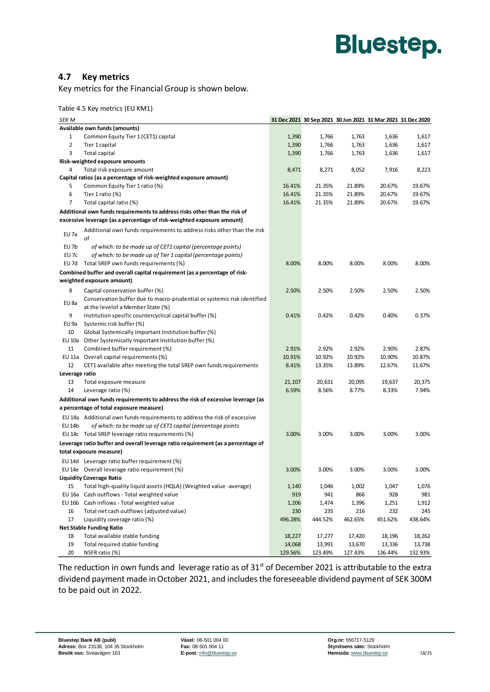#### <span id="page-19-0"></span>**4.7 Key metrics**

Key metrics for the Financial Group is shown below.

Table 4.5 Key metrics (EU KM1)

| <b>SEK M</b>   |                                                                                  |         |         |         | 31 Dec 2021 30 Sep 2021 30 Jun 2021 31 Mar 2021 31 Dec 2020 |         |
|----------------|----------------------------------------------------------------------------------|---------|---------|---------|-------------------------------------------------------------|---------|
|                | Available own funds (amounts)                                                    |         |         |         |                                                             |         |
| $\mathbf{1}$   | Common Equity Tier 1 (CET1) capital                                              | 1,390   | 1,766   | 1,763   | 1,636                                                       | 1,617   |
| 2              | Tier 1 capital                                                                   | 1,390   | 1,766   | 1,763   | 1,636                                                       | 1,617   |
| 3              | <b>Total capital</b>                                                             | 1,390   | 1,766   | 1,763   | 1,636                                                       | 1,617   |
|                | Risk-weighted exposure amounts                                                   |         |         |         |                                                             |         |
| 4              | Total risk exposure amount                                                       | 8,471   | 8,271   | 8,052   | 7,916                                                       | 8,223   |
|                | Capital ratios (as a percentage of risk-weighted exposure amount)                |         |         |         |                                                             |         |
| 5              | Common Equity Tier 1 ratio (%)                                                   | 16.41%  | 21.35%  | 21.89%  | 20.67%                                                      | 19.67%  |
| 6              | Tier 1 ratio $(\%)$                                                              | 16.41%  | 21.35%  | 21.89%  | 20.67%                                                      | 19.67%  |
| 7              | Total capital ratio (%)                                                          | 16.41%  | 21.35%  | 21.89%  | 20.67%                                                      | 19.67%  |
|                | Additional own funds requirements to address risks other than the risk of        |         |         |         |                                                             |         |
|                | excessive leverage (as a percentage of risk-weighted exposure amount)            |         |         |         |                                                             |         |
| EU 7a          | Additional own funds requirements to address risks other than the risk<br>of     |         |         |         |                                                             |         |
| EU 7b          | of which: to be made up of CET1 capital (percentage points)                      |         |         |         |                                                             |         |
| EU 7c          | of which: to be made up of Tier 1 capital (percentage points)                    |         |         |         |                                                             |         |
|                | EU 7d Total SREP own funds requirements (%)                                      | 8.00%   | 8.00%   | 8.00%   | 8.00%                                                       | 8.00%   |
|                | Combined buffer and overall capital requirement (as a percentage of risk-        |         |         |         |                                                             |         |
|                | weighted exposure amount)                                                        |         |         |         |                                                             |         |
| 8              | Capital conservation buffer (%)                                                  | 2.50%   | 2.50%   | 2.50%   | 2.50%                                                       | 2.50%   |
|                | Conservation buffer due to macro-prudential or systemic risk identified          |         |         |         |                                                             |         |
| EU 8a          | at the levelof a Member State (%)                                                |         |         |         |                                                             |         |
| 9              | Institution specific countercyclical capital buffer (%)                          | 0.41%   | 0.42%   | 0.42%   | 0.40%                                                       | 0.37%   |
| EU 9a          | Systemic risk buffer (%)                                                         |         |         |         |                                                             |         |
| 10             | Global Systemically Important Institution buffer (%)                             |         |         |         |                                                             |         |
|                | EU 10a Other Systemically Important Institution buffer (%)                       |         |         |         |                                                             |         |
| 11             | Combined buffer requirement (%)                                                  | 2.91%   | 2.92%   | 2.92%   | 2.90%                                                       | 2.87%   |
|                | EU 11a Overall capital requirements (%)                                          | 10.91%  | 10.92%  | 10.92%  | 10.90%                                                      | 10.87%  |
| 12             | CET1 available after meeting the total SREP own funds requirements               | 8.41%   | 13.35%  | 13.89%  | 12.67%                                                      | 11.67%  |
| Leverage ratio |                                                                                  |         |         |         |                                                             |         |
| 13             | Total exposure measure                                                           | 21,107  | 20,631  | 20,095  | 19,637                                                      | 20,375  |
| 14             | Leverage ratio (%)                                                               | 6.59%   | 8.56%   | 8.77%   | 8.33%                                                       | 7.94%   |
|                | Additional own funds requirements to address the risk of excessive leverage (as  |         |         |         |                                                             |         |
|                | a percentage of total exposure measure)                                          |         |         |         |                                                             |         |
|                | EU 14a Additional own funds requirements to address the risk of excessive        |         |         |         |                                                             |         |
| EU 14b         | of which: to be made up of CET1 capital (percentage points                       |         |         |         |                                                             |         |
|                | EU 14c Total SREP leverage ratio requirements (%)                                | 3.00%   | 3.00%   | 3.00%   | 3.00%                                                       | 3.00%   |
|                | Leverage ratio buffer and overall leverage ratio requirement (as a percentage of |         |         |         |                                                             |         |
|                | total exposure measure)                                                          |         |         |         |                                                             |         |
|                | EU 14d Leverage ratio buffer requirement (%)                                     |         |         |         |                                                             |         |
|                | EU 14e Overall leverage ratio requirement (%)                                    | 3.00%   | 3.00%   | 3.00%   | 3.00%                                                       | 3.00%   |
|                | <b>Liquidity Coverage Ratio</b>                                                  |         |         |         |                                                             |         |
| 15             | Total high-quality liquid assets (HQLA) (Weighted value -average)                | 1,140   | 1,046   | 1,002   | 1,047                                                       | 1,076   |
| EU 16a         | Cash outflows - Total weighted value                                             | 919     | 941     | 866     | 928                                                         | 981     |
| EU 16b         | Cash inflows - Total weighted value                                              | 1,206   | 1,474   | 1,396   | 1,251                                                       | 1,912   |
| 16             | Total net cash outflows (adjusted value)                                         | 230     | 235     | 216     | 232                                                         | 245     |
| 17             | Liquidity coverage ratio (%)                                                     | 496.28% | 444.52% | 462.65% | 451.62%                                                     | 438.64% |
|                | <b>Net Stable Funding Ratio</b>                                                  |         |         |         |                                                             |         |
| 18             | Total available stable funding                                                   | 18,227  | 17,277  | 17,420  | 18,196                                                      | 18,262  |
| 19             | Total required stable funding                                                    | 14,068  | 13,991  | 13,670  | 13,336                                                      | 13,738  |
| 20             | NSFR ratio (%)                                                                   | 129.56% | 123.49% | 127.43% | 136.44%                                                     | 132.93% |

The reduction in own funds and leverage ratio as of  $31<sup>st</sup>$  of December 2021 is attributable to the extra dividend payment made in October 2021, and includes the foreseeable dividend payment of SEK 300M to be paid out in 2022.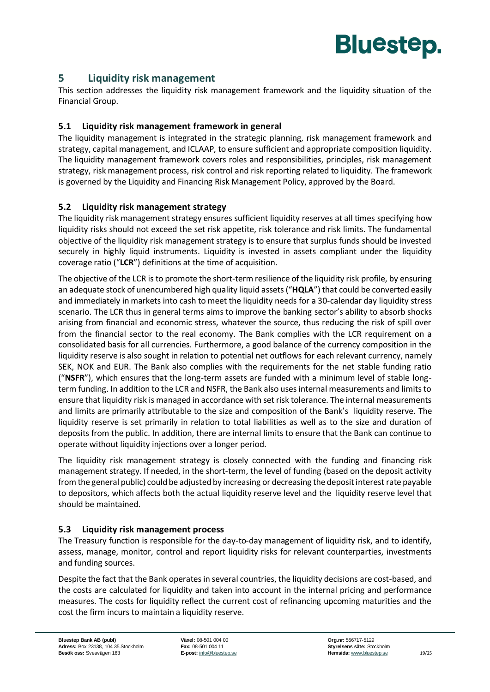

#### <span id="page-20-0"></span>**5 Liquidity risk management**

This section addresses the liquidity risk management framework and the liquidity situation of the Financial Group.

#### <span id="page-20-1"></span>**5.1 Liquidity risk management framework in general**

The liquidity management is integrated in the strategic planning, risk management framework and strategy, capital management, and ICLAAP, to ensure sufficient and appropriate composition liquidity. The liquidity management framework covers roles and responsibilities, principles, risk management strategy, risk management process, risk control and risk reporting related to liquidity. The framework is governed by the Liquidity and Financing Risk Management Policy, approved by the Board.

#### <span id="page-20-2"></span>**5.2 Liquidity risk management strategy**

The liquidity risk management strategy ensures sufficient liquidity reserves at all times specifying how liquidity risks should not exceed the set risk appetite, risk tolerance and risk limits. The fundamental objective of the liquidity risk management strategy is to ensure that surplus funds should be invested securely in highly liquid instruments. Liquidity is invested in assets compliant under the liquidity coverage ratio ("**LCR**") definitions at the time of acquisition.

The objective of the LCR is to promote the short-term resilience of the liquidity risk profile, by ensuring an adequate stock of unencumbered high quality liquid assets ("**HQLA**") that could be converted easily and immediately in markets into cash to meet the liquidity needs for a 30-calendar day liquidity stress scenario. The LCR thus in general terms aims to improve the banking sector's ability to absorb shocks arising from financial and economic stress, whatever the source, thus reducing the risk of spill over from the financial sector to the real economy. The Bank complies with the LCR requirement on a consolidated basis for all currencies. Furthermore, a good balance of the currency composition in the liquidity reserve is also sought in relation to potential net outflows for each relevant currency, namely SEK, NOK and EUR. The Bank also complies with the requirements for the net stable funding ratio ("**NSFR**"), which ensures that the long-term assets are funded with a minimum level of stable longterm funding. In addition to the LCR and NSFR, the Bank also uses internal measurements and limits to ensure that liquidity risk is managed in accordance with set risk tolerance. The internal measurements and limits are primarily attributable to the size and composition of the Bank's liquidity reserve. The liquidity reserve is set primarily in relation to total liabilities as well as to the size and duration of deposits from the public. In addition, there are internal limits to ensure that the Bank can continue to operate without liquidity injections over a longer period.

The liquidity risk management strategy is closely connected with the funding and financing risk management strategy. If needed, in the short-term, the level of funding (based on the deposit activity from the general public) could be adjusted by increasing or decreasing the deposit interest rate payable to depositors, which affects both the actual liquidity reserve level and the liquidity reserve level that should be maintained.

#### <span id="page-20-3"></span>**5.3 Liquidity risk management process**

The Treasury function is responsible for the day-to-day management of liquidity risk, and to identify, assess, manage, monitor, control and report liquidity risks for relevant counterparties, investments and funding sources.

Despite the fact that the Bank operates in several countries, the liquidity decisions are cost-based, and the costs are calculated for liquidity and taken into account in the internal pricing and performance measures. The costs for liquidity reflect the current cost of refinancing upcoming maturities and the cost the firm incurs to maintain a liquidity reserve.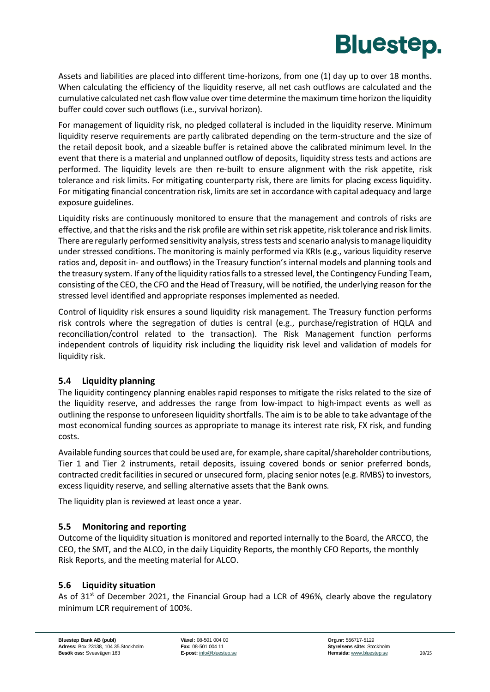

Assets and liabilities are placed into different time-horizons, from one (1) day up to over 18 months. When calculating the efficiency of the liquidity reserve, all net cash outflows are calculated and the cumulative calculated net cash flow value over time determine the maximum time horizon the liquidity buffer could cover such outflows (i.e., survival horizon).

For management of liquidity risk, no pledged collateral is included in the liquidity reserve. Minimum liquidity reserve requirements are partly calibrated depending on the term-structure and the size of the retail deposit book, and a sizeable buffer is retained above the calibrated minimum level. In the event that there is a material and unplanned outflow of deposits, liquidity stress tests and actions are performed. The liquidity levels are then re-built to ensure alignment with the risk appetite, risk tolerance and risk limits. For mitigating counterparty risk, there are limits for placing excess liquidity. For mitigating financial concentration risk, limits are set in accordance with capital adequacy and large exposure guidelines.

Liquidity risks are continuously monitored to ensure that the management and controls of risks are effective, and that the risks and the risk profile are within set risk appetite, risk tolerance and risk limits. There are regularly performed sensitivity analysis, stress tests and scenario analysis to manage liquidity under stressed conditions. The monitoring is mainly performed via KRIs (e.g., various liquidity reserve ratios and, deposit in- and outflows) in the Treasury function's internal models and planning tools and the treasury system. If any of the liquidity ratios falls to a stressed level, the Contingency Funding Team, consisting of the CEO, the CFO and the Head of Treasury, will be notified, the underlying reason for the stressed level identified and appropriate responses implemented as needed.

Control of liquidity risk ensures a sound liquidity risk management. The Treasury function performs risk controls where the segregation of duties is central (e.g., purchase/registration of HQLA and reconciliation/control related to the transaction). The Risk Management function performs independent controls of liquidity risk including the liquidity risk level and validation of models for liquidity risk.

#### <span id="page-21-0"></span>**5.4 Liquidity planning**

The liquidity contingency planning enables rapid responses to mitigate the risks related to the size of the liquidity reserve, and addresses the range from low-impact to high-impact events as well as outlining the response to unforeseen liquidity shortfalls. The aim is to be able to take advantage of the most economical funding sources as appropriate to manage its interest rate risk, FX risk, and funding costs.

Available funding sources that could be used are, for example, share capital/shareholder contributions, Tier 1 and Tier 2 instruments, retail deposits, issuing covered bonds or senior preferred bonds, contracted credit facilities in secured or unsecured form, placing senior notes (e.g. RMBS) to investors, excess liquidity reserve, and selling alternative assets that the Bank owns.

The liquidity plan is reviewed at least once a year.

#### <span id="page-21-1"></span>**5.5 Monitoring and reporting**

Outcome of the liquidity situation is monitored and reported internally to the Board, the ARCCO, the CEO, the SMT, and the ALCO, in the daily Liquidity Reports, the monthly CFO Reports, the monthly Risk Reports, and the meeting material for ALCO.

#### <span id="page-21-2"></span>**5.6 Liquidity situation**

As of  $31<sup>st</sup>$  of December 2021, the Financial Group had a LCR of 496%, clearly above the regulatory minimum LCR requirement of 100%.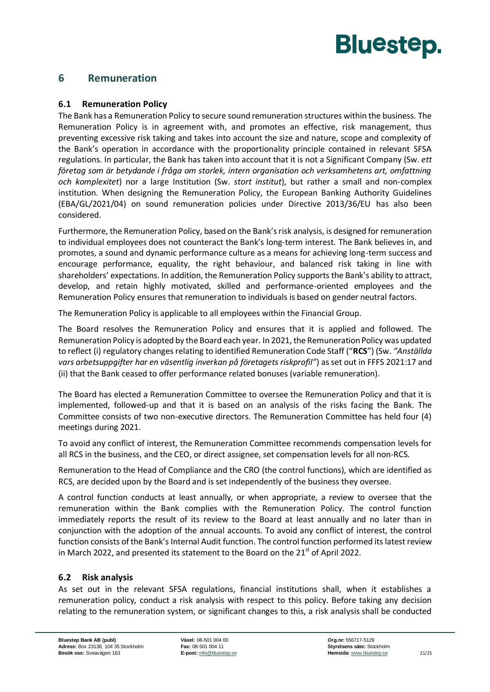#### <span id="page-22-1"></span><span id="page-22-0"></span>**6 Remuneration**

#### **6.1 Remuneration Policy**

The Bank has a Remuneration Policy to secure sound remuneration structures within the business. The Remuneration Policy is in agreement with, and promotes an effective, risk management, thus preventing excessive risk taking and takes into account the size and nature, scope and complexity of the Bank's operation in accordance with the proportionality principle contained in relevant SFSA regulations. In particular, the Bank has taken into account that it is not a Significant Company (Sw. *ett företag som är betydande i fråga om storlek, intern organisation och verksamhetens art, omfattning och komplexitet*) nor a large Institution (Sw. *stort institut*), but rather a small and non-complex institution. When designing the Remuneration Policy, the European Banking Authority Guidelines (EBA/GL/2021/04) on sound remuneration policies under Directive 2013/36/EU has also been considered.

Furthermore, the Remuneration Policy, based on the Bank's risk analysis, is designed for remuneration to individual employees does not counteract the Bank's long-term interest. The Bank believes in, and promotes, a sound and dynamic performance culture as a means for achieving long-term success and encourage performance, equality, the right behaviour, and balanced risk taking in line with shareholders' expectations. In addition, the Remuneration Policy supports the Bank's ability to attract, develop, and retain highly motivated, skilled and performance-oriented employees and the Remuneration Policy ensures that remuneration to individuals is based on gender neutral factors.

The Remuneration Policy is applicable to all employees within the Financial Group.

The Board resolves the Remuneration Policy and ensures that it is applied and followed. The Remuneration Policy is adopted by the Board each year. In 2021, the Remuneration Policy was updated to reflect (i) regulatory changes relating to identified Remuneration Code Staff ("**RCS**") (Sw. *"Anställda vars arbetsuppgifter har en väsentlig inverkan på företagets riskprofil"*) as set out in FFFS 2021:17 and (ii) that the Bank ceased to offer performance related bonuses (variable remuneration).

The Board has elected a Remuneration Committee to oversee the Remuneration Policy and that it is implemented, followed-up and that it is based on an analysis of the risks facing the Bank. The Committee consists of two non-executive directors. The Remuneration Committee has held four (4) meetings during 2021.

To avoid any conflict of interest, the Remuneration Committee recommends compensation levels for all RCS in the business, and the CEO, or direct assignee, set compensation levels for all non-RCS.

Remuneration to the Head of Compliance and the CRO (the control functions), which are identified as RCS, are decided upon by the Board and is set independently of the business they oversee.

A control function conducts at least annually, or when appropriate, a review to oversee that the remuneration within the Bank complies with the Remuneration Policy. The control function immediately reports the result of its review to the Board at least annually and no later than in conjunction with the adoption of the annual accounts. To avoid any conflict of interest, the control function consists of the Bank's Internal Audit function. The control function performed its latest review in March 2022, and presented its statement to the Board on the  $21<sup>st</sup>$  of April 2022.

#### <span id="page-22-2"></span>**6.2 Risk analysis**

As set out in the relevant SFSA regulations, financial institutions shall, when it establishes a remuneration policy, conduct a risk analysis with respect to this policy. Before taking any decision relating to the remuneration system, or significant changes to this, a risk analysis shall be conducted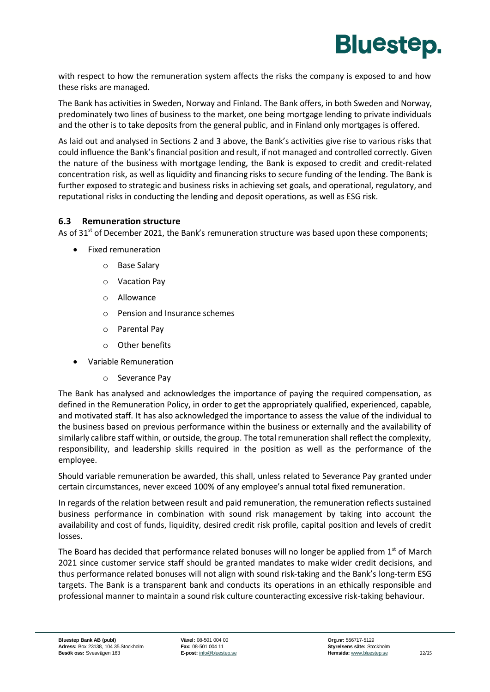

with respect to how the remuneration system affects the risks the company is exposed to and how these risks are managed.

The Bank has activities in Sweden, Norway and Finland. The Bank offers, in both Sweden and Norway, predominately two lines of business to the market, one being mortgage lending to private individuals and the other is to take deposits from the general public, and in Finland only mortgages is offered.

As laid out and analysed in Sections 2 and 3 above, the Bank's activities give rise to various risks that could influence the Bank's financial position and result, if not managed and controlled correctly. Given the nature of the business with mortgage lending, the Bank is exposed to credit and credit-related concentration risk, as well as liquidity and financing risks to secure funding of the lending. The Bank is further exposed to strategic and business risks in achieving set goals, and operational, regulatory, and reputational risks in conducting the lending and deposit operations, as well as ESG risk.

#### <span id="page-23-0"></span>**6.3 Remuneration structure**

As of  $31<sup>st</sup>$  of December 2021, the Bank's remuneration structure was based upon these components;

- Fixed remuneration
	- o Base Salary
	- o Vacation Pay
	- o Allowance
	- o Pension and Insurance schemes
	- o Parental Pay
	- o Other benefits
- Variable Remuneration
	- o Severance Pay

The Bank has analysed and acknowledges the importance of paying the required compensation, as defined in the Remuneration Policy, in order to get the appropriately qualified, experienced, capable, and motivated staff. It has also acknowledged the importance to assess the value of the individual to the business based on previous performance within the business or externally and the availability of similarly calibre staff within, or outside, the group. The total remuneration shall reflect the complexity, responsibility, and leadership skills required in the position as well as the performance of the employee.

Should variable remuneration be awarded, this shall, unless related to Severance Pay granted under certain circumstances, never exceed 100% of any employee's annual total fixed remuneration.

In regards of the relation between result and paid remuneration, the remuneration reflects sustained business performance in combination with sound risk management by taking into account the availability and cost of funds, liquidity, desired credit risk profile, capital position and levels of credit losses.

The Board has decided that performance related bonuses will no longer be applied from  $1<sup>st</sup>$  of March 2021 since customer service staff should be granted mandates to make wider credit decisions, and thus performance related bonuses will not align with sound risk-taking and the Bank's long-term ESG targets. The Bank is a transparent bank and conducts its operations in an ethically responsible and professional manner to maintain a sound risk culture counteracting excessive risk-taking behaviour.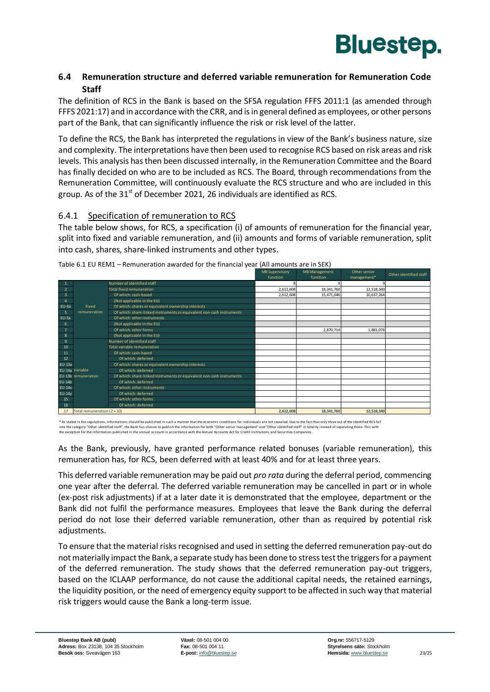

#### <span id="page-24-0"></span>**6.4 Remuneration structure and deferred variable remuneration for Remuneration Code Staff**

The definition of RCS in the Bank is based on the SFSA regulation FFFS 2011:1 (as amended through FFFS 2021:17) and in accordance with the CRR, and is in general defined as employees, or other persons part of the Bank, that can significantly influence the risk or risk level of the latter.

To define the RCS, the Bank has interpreted the regulations in view of the Bank's business nature, size and complexity. The interpretations have then been used to recognise RCS based on risk areas and risk levels. This analysis has then been discussed internally, in the Remuneration Committee and the Board has finally decided on who are to be included as RCS. The Board, through recommendations from the Remuneration Committee, will continuously evaluate the RCS structure and who are included in this group. As of the  $31<sup>st</sup>$  of December 2021, 26 individuals are identified as RCS.

#### 6.4.1 Specification of remuneration to RCS

The table below shows, for RCS, a specification (i) of amounts of remuneration for the financial year, split into fixed and variable remuneration, and (ii) amounts and forms of variable remuneration, split into cash, shares, share-linked instruments and other types.

|                |                               |                                                                       | <b>MB Supervisory</b> | <b>MB Management</b> | Other senior | Other identified staff |
|----------------|-------------------------------|-----------------------------------------------------------------------|-----------------------|----------------------|--------------|------------------------|
|                |                               |                                                                       | function              | function             | management*  |                        |
|                |                               | Number of identified staff                                            |                       |                      |              |                        |
| $\overline{a}$ |                               | <b>Total fixed remuneration</b>                                       | 2,612,608             | 18,341,760           | 12,518,340   |                        |
| 3              |                               | Of which: cash-based                                                  | 2,612,608             | 15,471,046           | 10,637,264   |                        |
| 4              |                               | (Not applicable in the EU)                                            |                       |                      |              |                        |
| EU-4a          | Fixed                         | Of which: shares or equivalent ownership interests                    |                       |                      |              |                        |
| 5              | remuneration                  | Of which: share-linked instruments or equivalent non-cash instruments |                       |                      |              |                        |
| $EU-5x$        |                               | Of which: other instruments                                           |                       |                      |              |                        |
| 6              |                               | (Not applicable in the EU)                                            |                       |                      |              |                        |
| $\overline{7}$ |                               | Of which: other forms                                                 |                       | 2.870.714            | 1.881.076    |                        |
| 8              |                               | (Not applicable in the EU)                                            |                       |                      |              |                        |
| 9              |                               | Number of identified staff                                            |                       |                      |              |                        |
| 10             |                               | Total variable remuneration                                           |                       |                      |              |                        |
| 11             |                               | Of which: cash-based                                                  |                       |                      |              |                        |
| 12             |                               | Of which: deferred                                                    |                       |                      |              |                        |
| <b>EU-13a</b>  |                               | Of which: shares or equivalent ownership interests                    |                       |                      |              |                        |
|                | EU-14a Variable               | Of which: deferred                                                    |                       |                      |              |                        |
|                | EU-13b remuneration           | Of which: share-linked instruments or equivalent non-cash instruments |                       |                      |              |                        |
| $EU-14b$       |                               | Of which: deferred                                                    |                       |                      |              |                        |
| $EU-14x$       |                               | Of which: other instruments                                           |                       |                      |              |                        |
| $EU-14V$       |                               | Of which: deferred                                                    |                       |                      |              |                        |
| 15             |                               | Of which: other forms                                                 |                       |                      |              |                        |
| 16             |                               | Of which: deferred                                                    |                       |                      |              |                        |
| 17             | Total remuneration $(2 + 10)$ |                                                                       | 2,612,608             | 18,341,760           | 12,518,340   |                        |

Table 6.1 EU REM1 – Remuneration awarded for the financial year (All amounts are in SEK)

\* As stated in the regulations, informations should be published in such a manner that the economic conditions for individuals are not revealed. Due to the fact that only three out of the identified RCS fall<br>into the categ

As the Bank, previously, have granted performance related bonuses (variable remuneration), this remuneration has, for RCS, been deferred with at least 40% and for at least three years.

This deferred variable remuneration may be paid out *pro rata* during the deferral period, commencing one year after the deferral. The deferred variable remuneration may be cancelled in part or in whole (ex-post risk adjustments) if at a later date it is demonstrated that the employee, department or the Bank did not fulfil the performance measures. Employees that leave the Bank during the deferral period do not lose their deferred variable remuneration, other than as required by potential risk adjustments.

To ensure that the material risks recognised and used in setting the deferred remuneration pay-out do not materially impact the Bank, a separate study has been done to stress test the triggers for a payment of the deferred remuneration. The study shows that the deferred remuneration pay-out triggers, based on the ICLAAP performance, do not cause the additional capital needs, the retained earnings, the liquidity position, or the need of emergency equity support to be affected in such way that material risk triggers would cause the Bank a long-term issue.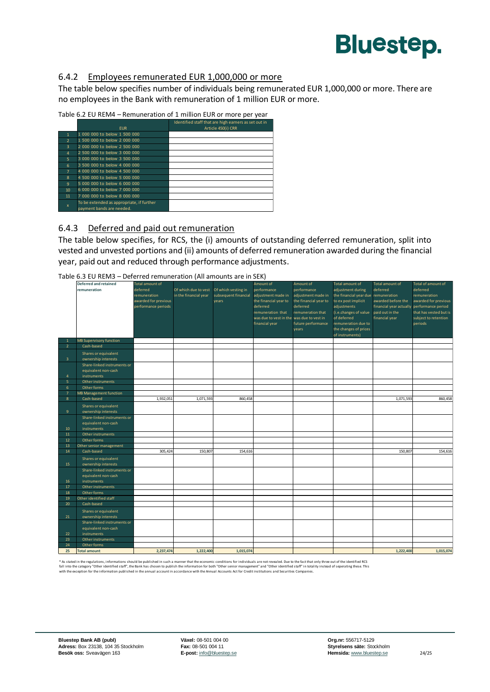

#### 6.4.2 Employees remunerated EUR 1,000,000 or more

The table below specifies number of individuals being remunerated EUR 1,000,000 or more. There are no employees in the Bank with remuneration of 1 million EUR or more.

| Table 6.2 EU REM4 - Remuneration of 1 million EUR or more per year |  |  |  |
|--------------------------------------------------------------------|--|--|--|
|                                                                    |  |  |  |

|                |                                           | Identified staff that are high earners as set out in |
|----------------|-------------------------------------------|------------------------------------------------------|
|                | <b>EUR</b>                                | Article 450(i) CRR                                   |
|                | 1 000 000 to below 1 500 000              |                                                      |
| $\overline{2}$ | 1 500 000 to below 2 000 000              |                                                      |
| $\overline{3}$ | 2 000 000 to below 2 500 000              |                                                      |
| 4              | 2 500 000 to below 3 000 000              |                                                      |
| $5^{\circ}$    | 3,000,000 to below 3,500,000              |                                                      |
| 6              | 3 500 000 to below 4 000 000              |                                                      |
| $\overline{7}$ | 4,000,000 to below 4,500,000              |                                                      |
| $\mathbf{g}$   | 4 500 000 to below 5 000 000              |                                                      |
| 9              | 5,000,000 to below 6,000,000              |                                                      |
| 10             | 6 000 000 to below 7 000 000              |                                                      |
| 11             | 7,000,000 to below 8,000,000              |                                                      |
|                | To be extended as appropriate, if further |                                                      |
| $\mathbf{x}$   | payment bands are needed.                 |                                                      |

#### 6.4.3 Deferred and paid out remuneration

The table below specifies, for RCS, the (i) amounts of outstanding deferred remuneration, split into vested and unvested portions and (ii) amounts of deferred remuneration awarded during the financial year, paid out and reduced through performance adjustments.

Table 6.3 EU REM3 – Deferred remuneration (All amounts are in SEK)

|                         | <b>Deferred and retained</b>   | <b>Total amount of</b> |                       |                      | Amount of                                 | Amount of             | <b>Total amount of</b>                | <b>Total amount of</b>                     | Total of amount of     |
|-------------------------|--------------------------------|------------------------|-----------------------|----------------------|-------------------------------------------|-----------------------|---------------------------------------|--------------------------------------------|------------------------|
|                         | remuneration                   | deferred               | Of which due to vest  | Of which vesting in  | performance                               | performance           | adjustment during                     | deferred                                   | deferred               |
|                         |                                | remuneration           | in the financial year | subsequent financial | adjustment made in                        | adjustment made in    | the financial year due remuneration   |                                            | remuneration           |
|                         |                                | awarded for previous   |                       | years                | the financial year to                     | the financial year to | to ex post implicit                   | awarded before the                         | awarded for previous   |
|                         |                                | performance periods    |                       |                      | deferred                                  | deferred              | adjustments                           | financial year actually performance period |                        |
|                         |                                |                        |                       |                      | remuneration that                         | remuneration that     | (i.e.changes of value paid out in the |                                            | that has vested but is |
|                         |                                |                        |                       |                      | was due to vest in the was due to vest in |                       | of deferred                           | financial year                             | subject to retention   |
|                         |                                |                        |                       |                      | financial year                            | future performance    | remuneration due to                   |                                            | periods                |
|                         |                                |                        |                       |                      |                                           | years                 | the changes of prices                 |                                            |                        |
|                         |                                |                        |                       |                      |                                           |                       | of instruments)                       |                                            |                        |
| $\mathbf{1}$            | <b>MB Supervisory function</b> |                        |                       |                      |                                           |                       |                                       |                                            |                        |
| $\overline{2}$          | Cash-based                     |                        |                       |                      |                                           |                       |                                       |                                            |                        |
|                         | Shares or equivalent           |                        |                       |                      |                                           |                       |                                       |                                            |                        |
| $\overline{\mathbf{3}}$ | ownership interests            |                        |                       |                      |                                           |                       |                                       |                                            |                        |
|                         | Share-linked instruments or    |                        |                       |                      |                                           |                       |                                       |                                            |                        |
|                         | equivalent non-cash            |                        |                       |                      |                                           |                       |                                       |                                            |                        |
| $\overline{4}$          | instruments                    |                        |                       |                      |                                           |                       |                                       |                                            |                        |
| 5                       | Other instruments              |                        |                       |                      |                                           |                       |                                       |                                            |                        |
| 6                       | Other forms                    |                        |                       |                      |                                           |                       |                                       |                                            |                        |
| $\overline{7}$          | <b>MB Management function</b>  |                        |                       |                      |                                           |                       |                                       |                                            |                        |
| $\overline{8}$          | Cash-based                     | 1,932,051              | 1,071,593             | 860,458              |                                           |                       |                                       | 1,071,593                                  | 860,458                |
|                         | Shares or equivalent           |                        |                       |                      |                                           |                       |                                       |                                            |                        |
| 9                       | ownership interests            |                        |                       |                      |                                           |                       |                                       |                                            |                        |
|                         | Share-linked instruments or    |                        |                       |                      |                                           |                       |                                       |                                            |                        |
|                         | equivalent non-cash            |                        |                       |                      |                                           |                       |                                       |                                            |                        |
| 10                      | instruments                    |                        |                       |                      |                                           |                       |                                       |                                            |                        |
| 11                      | Other instruments              |                        |                       |                      |                                           |                       |                                       |                                            |                        |
| 12                      | Other forms                    |                        |                       |                      |                                           |                       |                                       |                                            |                        |
| 13                      | Other senior management        |                        |                       |                      |                                           |                       |                                       |                                            |                        |
| 14                      | Cash-based                     | 305,424                | 150,807               | 154,616              |                                           |                       |                                       | 150,807                                    | 154,616                |
|                         | Shares or equivalent           |                        |                       |                      |                                           |                       |                                       |                                            |                        |
| 15                      | ownership interests            |                        |                       |                      |                                           |                       |                                       |                                            |                        |
|                         | Share-linked instruments or    |                        |                       |                      |                                           |                       |                                       |                                            |                        |
|                         | equivalent non-cash            |                        |                       |                      |                                           |                       |                                       |                                            |                        |
| 16                      | instruments                    |                        |                       |                      |                                           |                       |                                       |                                            |                        |
| 17                      | Other instruments              |                        |                       |                      |                                           |                       |                                       |                                            |                        |
| 18                      | Other forms                    |                        |                       |                      |                                           |                       |                                       |                                            |                        |
| 19                      | Other identified staff         |                        |                       |                      |                                           |                       |                                       |                                            |                        |
| 20                      | Cash-based                     |                        |                       |                      |                                           |                       |                                       |                                            |                        |
|                         | Shares or equivalent           |                        |                       |                      |                                           |                       |                                       |                                            |                        |
| 21                      | ownership interests            |                        |                       |                      |                                           |                       |                                       |                                            |                        |
|                         | Share-linked instruments or    |                        |                       |                      |                                           |                       |                                       |                                            |                        |
|                         | equivalent non-cash            |                        |                       |                      |                                           |                       |                                       |                                            |                        |
| 22                      | instruments                    |                        |                       |                      |                                           |                       |                                       |                                            |                        |
| 23                      | Other instruments              |                        |                       |                      |                                           |                       |                                       |                                            |                        |
| 24                      | Other forms                    |                        |                       |                      |                                           |                       |                                       |                                            |                        |
| 25                      | <b>Total amount</b>            | 2,237,474              | 1,222,400             | 1,015,074            |                                           |                       |                                       | 1,222,400                                  | 1,015,074              |

\* As stated in the regulations, informations should be published in such a manner that the economic conditions for individuals are not revealed. Due to the fact that only three out of the identified RCS<br>fall into the categ